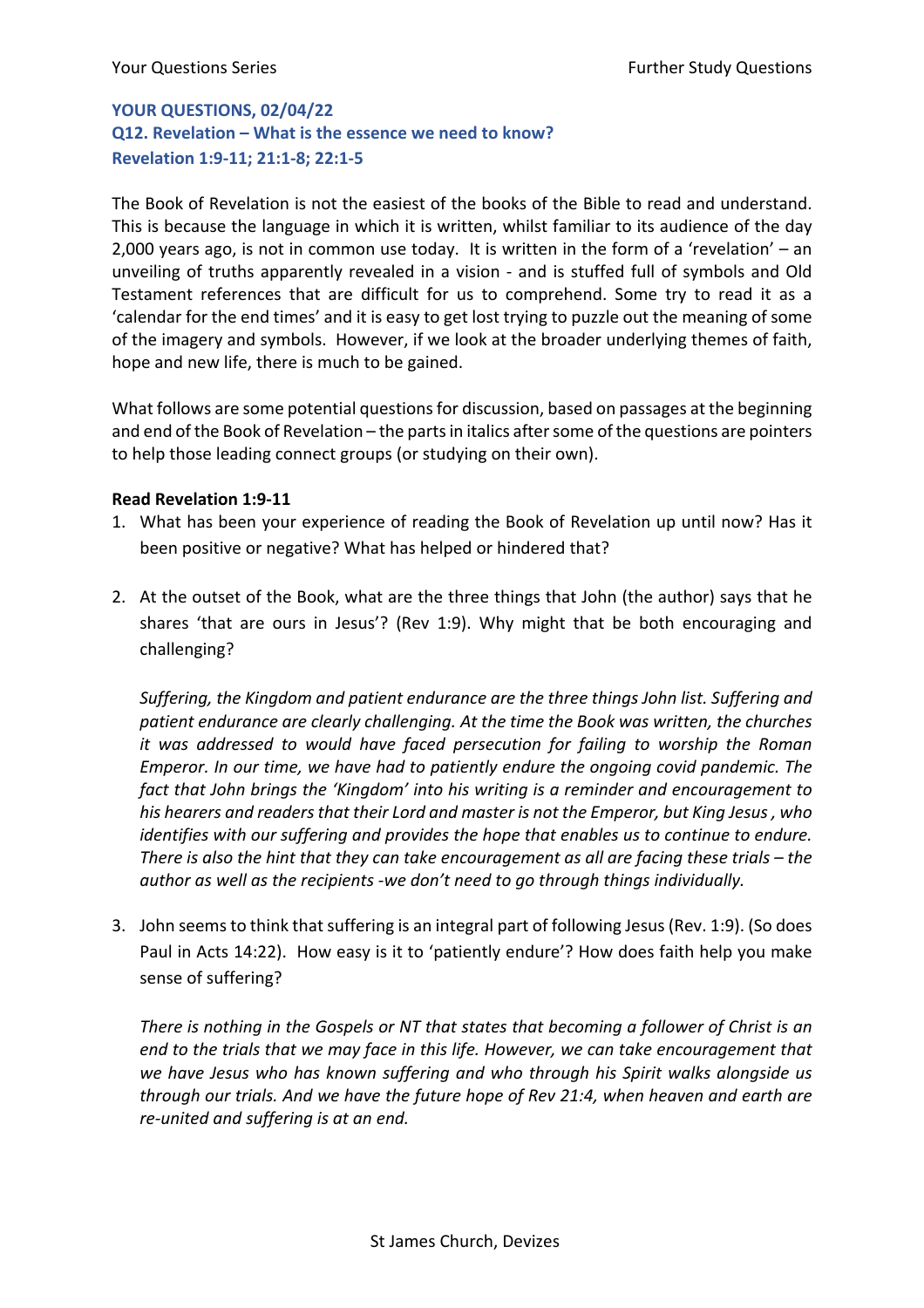## **YOUR QUESTIONS, 02/04/22 Q12. Revelation – What is the essence we need to know? Revelation 1:9-11; 21:1-8; 22:1-5**

The Book of Revelation is not the easiest of the books of the Bible to read and understand. This is because the language in which it is written, whilst familiar to its audience of the day 2,000 years ago, is not in common use today. It is written in the form of a 'revelation' – an unveiling of truths apparently revealed in a vision - and is stuffed full of symbols and Old Testament references that are difficult for us to comprehend. Some try to read it as a 'calendar for the end times' and it is easy to get lost trying to puzzle out the meaning of some of the imagery and symbols. However, if we look at the broader underlying themes of faith, hope and new life, there is much to be gained.

What follows are some potential questions for discussion, based on passages at the beginning and end of the Book of Revelation – the parts in italics after some of the questions are pointers to help those leading connect groups (or studying on their own).

## **Read Revelation 1:9-11**

- 1. What has been your experience of reading the Book of Revelation up until now? Has it been positive or negative? What has helped or hindered that?
- 2. At the outset of the Book, what are the three things that John (the author) says that he shares 'that are ours in Jesus'? (Rev 1:9). Why might that be both encouraging and challenging?

*Suffering, the Kingdom and patient endurance are the three things John list. Suffering and patient endurance are clearly challenging. At the time the Book was written, the churches it was addressed to would have faced persecution for failing to worship the Roman Emperor. In our time, we have had to patiently endure the ongoing covid pandemic. The fact that John brings the 'Kingdom' into his writing is a reminder and encouragement to his hearers and readers that their Lord and master is not the Emperor, but King Jesus , who identifies with our suffering and provides the hope that enables us to continue to endure. There is also the hint that they can take encouragement as all are facing these trials – the author as well as the recipients -we don't need to go through things individually.* 

3. John seems to think that suffering is an integral part of following Jesus (Rev. 1:9). (So does Paul in Acts 14:22). How easy is it to 'patiently endure'? How does faith help you make sense of suffering?

*There is nothing in the Gospels or NT that states that becoming a follower of Christ is an end to the trials that we may face in this life. However, we can take encouragement that we have Jesus who has known suffering and who through his Spirit walks alongside us through our trials. And we have the future hope of Rev 21:4, when heaven and earth are re-united and suffering is at an end.*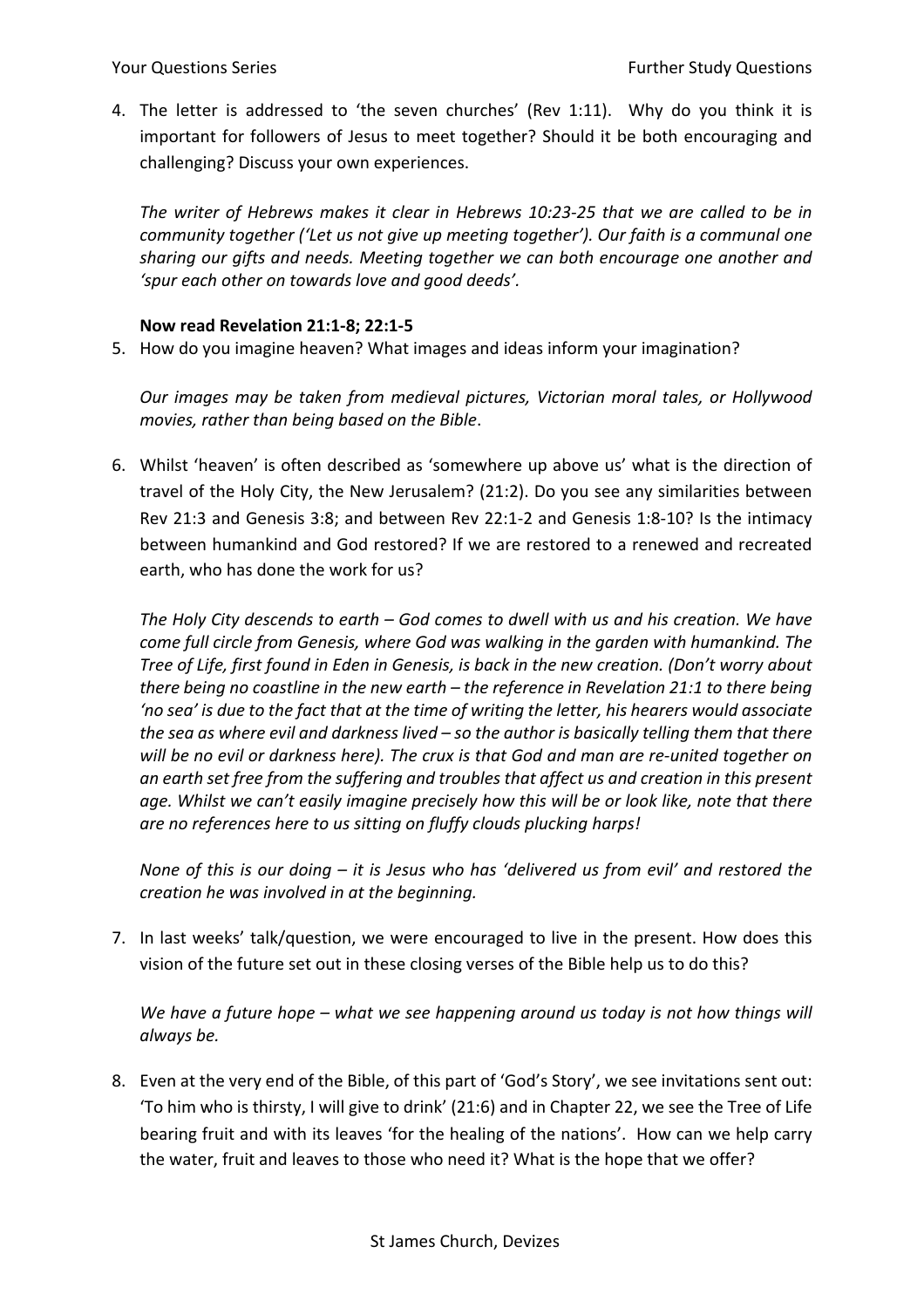4. The letter is addressed to 'the seven churches' (Rev 1:11). Why do you think it is important for followers of Jesus to meet together? Should it be both encouraging and challenging? Discuss your own experiences.

*The writer of Hebrews makes it clear in Hebrews 10:23-25 that we are called to be in community together ('Let us not give up meeting together'). Our faith is a communal one sharing our gifts and needs. Meeting together we can both encourage one another and 'spur each other on towards love and good deeds'.* 

#### **Now read Revelation 21:1-8; 22:1-5**

5. How do you imagine heaven? What images and ideas inform your imagination?

*Our images may be taken from medieval pictures, Victorian moral tales, or Hollywood movies, rather than being based on the Bible*.

6. Whilst 'heaven' is often described as 'somewhere up above us' what is the direction of travel of the Holy City, the New Jerusalem? (21:2). Do you see any similarities between Rev 21:3 and Genesis 3:8; and between Rev 22:1-2 and Genesis 1:8-10? Is the intimacy between humankind and God restored? If we are restored to a renewed and recreated earth, who has done the work for us?

*The Holy City descends to earth – God comes to dwell with us and his creation. We have come full circle from Genesis, where God was walking in the garden with humankind. The Tree of Life, first found in Eden in Genesis, is back in the new creation. (Don't worry about there being no coastline in the new earth – the reference in Revelation 21:1 to there being 'no sea' is due to the fact that at the time of writing the letter, his hearers would associate the sea as where evil and darkness lived – so the author is basically telling them that there will be no evil or darkness here). The crux is that God and man are re-united together on an earth set free from the suffering and troubles that affect us and creation in this present age. Whilst we can't easily imagine precisely how this will be or look like, note that there are no references here to us sitting on fluffy clouds plucking harps!*

*None of this is our doing – it is Jesus who has 'delivered us from evil' and restored the creation he was involved in at the beginning.* 

7. In last weeks' talk/question, we were encouraged to live in the present. How does this vision of the future set out in these closing verses of the Bible help us to do this?

*We have a future hope – what we see happening around us today is not how things will always be.* 

8. Even at the very end of the Bible, of this part of 'God's Story', we see invitations sent out: 'To him who is thirsty, I will give to drink' (21:6) and in Chapter 22, we see the Tree of Life bearing fruit and with its leaves 'for the healing of the nations'. How can we help carry the water, fruit and leaves to those who need it? What is the hope that we offer?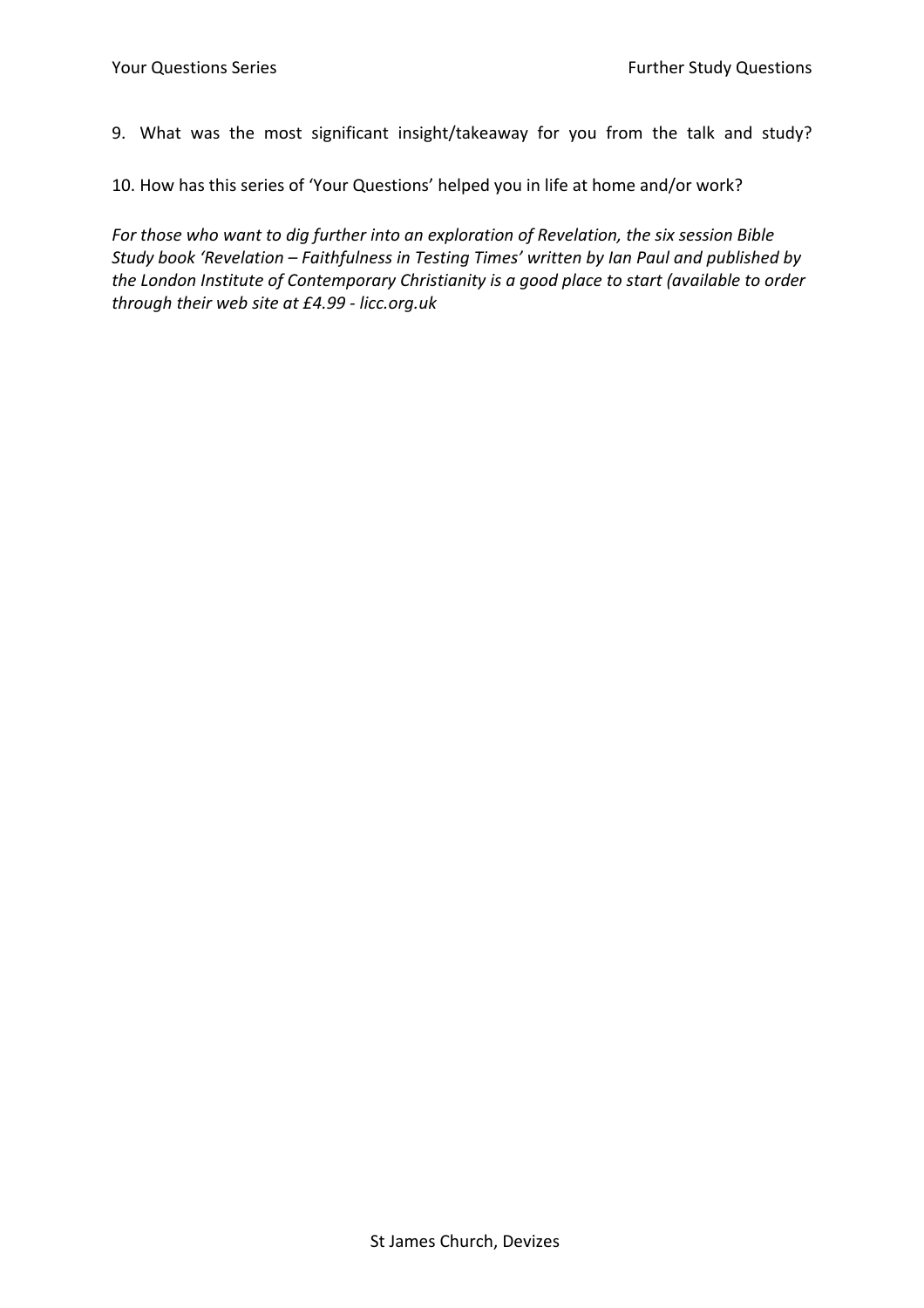9. What was the most significant insight/takeaway for you from the talk and study?

10. How has this series of 'Your Questions' helped you in life at home and/or work?

*For those who want to dig further into an exploration of Revelation, the six session Bible Study book 'Revelation – Faithfulness in Testing Times' written by Ian Paul and published by the London Institute of Contemporary Christianity is a good place to start (available to order through their web site at £4.99 - licc.org.uk*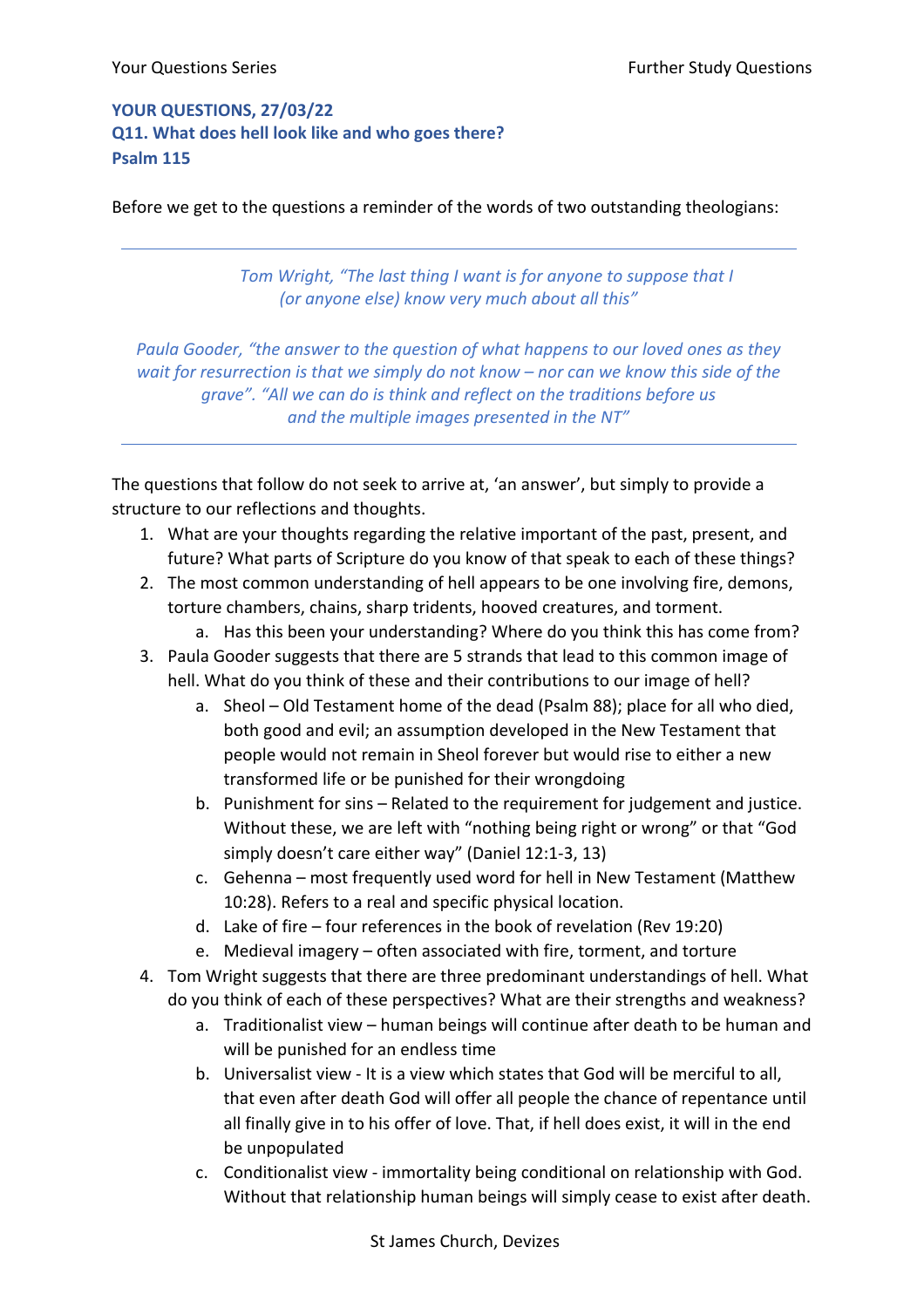## **YOUR QUESTIONS, 27/03/22 Q11. What does hell look like and who goes there? Psalm 115**

Before we get to the questions a reminder of the words of two outstanding theologians:

*Tom Wright, "The last thing I want is for anyone to suppose that I (or anyone else) know very much about all this"*

*Paula Gooder, "the answer to the question of what happens to our loved ones as they wait for resurrection is that we simply do not know – nor can we know this side of the grave". "All we can do is think and reflect on the traditions before us and the multiple images presented in the NT"*

The questions that follow do not seek to arrive at, 'an answer', but simply to provide a structure to our reflections and thoughts.

- 1. What are your thoughts regarding the relative important of the past, present, and future? What parts of Scripture do you know of that speak to each of these things?
- 2. The most common understanding of hell appears to be one involving fire, demons, torture chambers, chains, sharp tridents, hooved creatures, and torment.
	- a. Has this been your understanding? Where do you think this has come from?
- 3. Paula Gooder suggests that there are 5 strands that lead to this common image of hell. What do you think of these and their contributions to our image of hell?
	- a. Sheol Old Testament home of the dead (Psalm 88); place for all who died, both good and evil; an assumption developed in the New Testament that people would not remain in Sheol forever but would rise to either a new transformed life or be punished for their wrongdoing
	- b. Punishment for sins Related to the requirement for judgement and justice. Without these, we are left with "nothing being right or wrong" or that "God simply doesn't care either way" (Daniel 12:1-3, 13)
	- c. Gehenna most frequently used word for hell in New Testament (Matthew 10:28). Refers to a real and specific physical location.
	- d. Lake of fire four references in the book of revelation (Rev 19:20)
	- e. Medieval imagery often associated with fire, torment, and torture
- 4. Tom Wright suggests that there are three predominant understandings of hell. What do you think of each of these perspectives? What are their strengths and weakness?
	- a. Traditionalist view human beings will continue after death to be human and will be punished for an endless time
	- b. Universalist view It is a view which states that God will be merciful to all, that even after death God will offer all people the chance of repentance until all finally give in to his offer of love. That, if hell does exist, it will in the end be unpopulated
	- c. Conditionalist view immortality being conditional on relationship with God. Without that relationship human beings will simply cease to exist after death.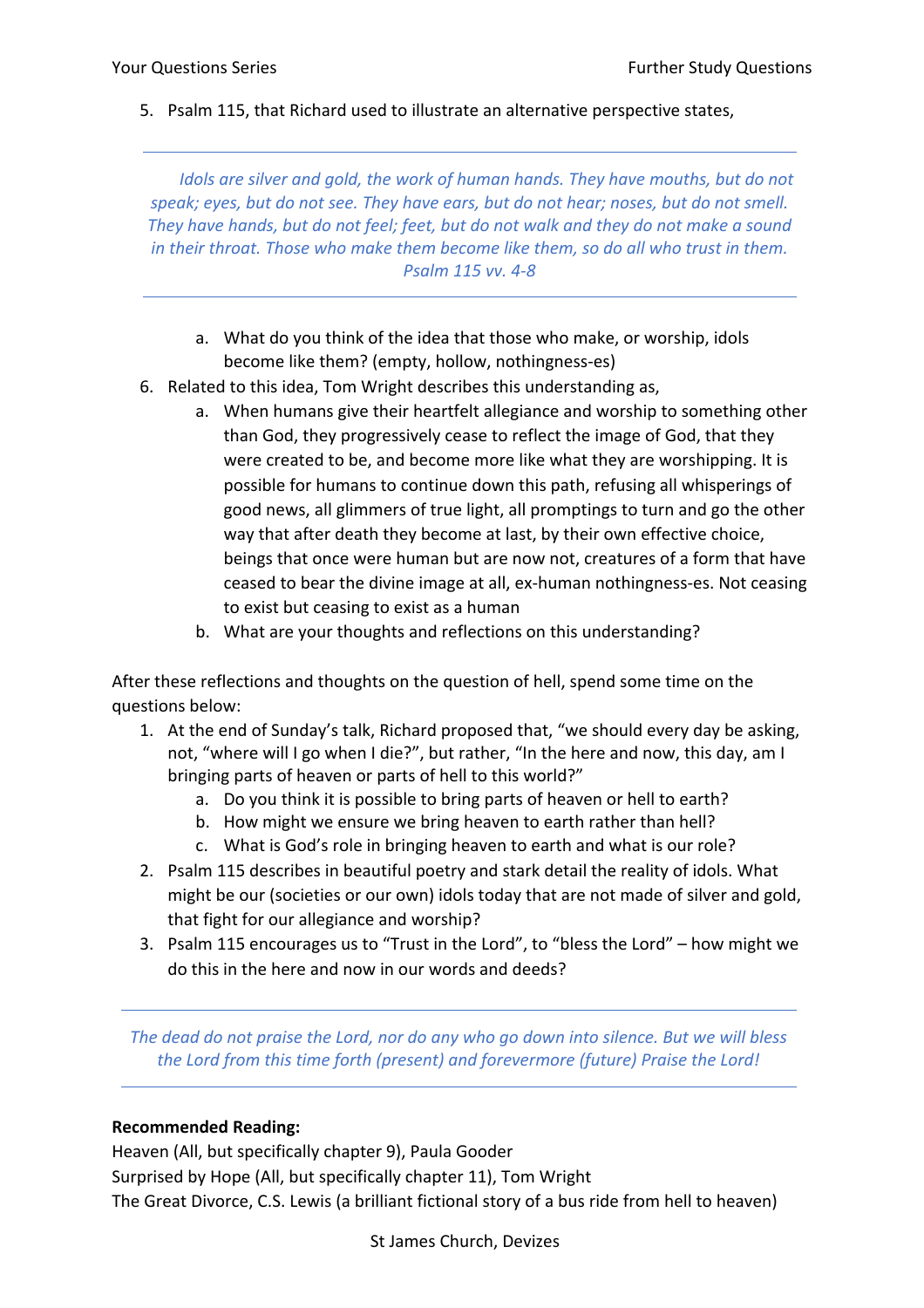5. Psalm 115, that Richard used to illustrate an alternative perspective states,

*Idols are silver and gold, the work of human hands. They have mouths, but do not speak; eyes, but do not see. They have ears, but do not hear; noses, but do not smell. They have hands, but do not feel; feet, but do not walk and they do not make a sound in their throat. Those who make them become like them, so do all who trust in them. Psalm 115 vv. 4-8*

- a. What do you think of the idea that those who make, or worship, idols become like them? (empty, hollow, nothingness-es)
- 6. Related to this idea, Tom Wright describes this understanding as,
	- a. When humans give their heartfelt allegiance and worship to something other than God, they progressively cease to reflect the image of God, that they were created to be, and become more like what they are worshipping. It is possible for humans to continue down this path, refusing all whisperings of good news, all glimmers of true light, all promptings to turn and go the other way that after death they become at last, by their own effective choice, beings that once were human but are now not, creatures of a form that have ceased to bear the divine image at all, ex-human nothingness-es. Not ceasing to exist but ceasing to exist as a human
	- b. What are your thoughts and reflections on this understanding?

After these reflections and thoughts on the question of hell, spend some time on the questions below:

- 1. At the end of Sunday's talk, Richard proposed that, "we should every day be asking, not, "where will I go when I die?", but rather, "In the here and now, this day, am I bringing parts of heaven or parts of hell to this world?"
	- a. Do you think it is possible to bring parts of heaven or hell to earth?
	- b. How might we ensure we bring heaven to earth rather than hell?
	- c. What is God's role in bringing heaven to earth and what is our role?
- 2. Psalm 115 describes in beautiful poetry and stark detail the reality of idols. What might be our (societies or our own) idols today that are not made of silver and gold, that fight for our allegiance and worship?
- 3. Psalm 115 encourages us to "Trust in the Lord", to "bless the Lord" how might we do this in the here and now in our words and deeds?

*The dead do not praise the Lord, nor do any who go down into silence. But we will bless the Lord from this time forth (present) and forevermore (future) Praise the Lord!*

## **Recommended Reading:**

Heaven (All, but specifically chapter 9), Paula Gooder Surprised by Hope (All, but specifically chapter 11), Tom Wright The Great Divorce, C.S. Lewis (a brilliant fictional story of a bus ride from hell to heaven)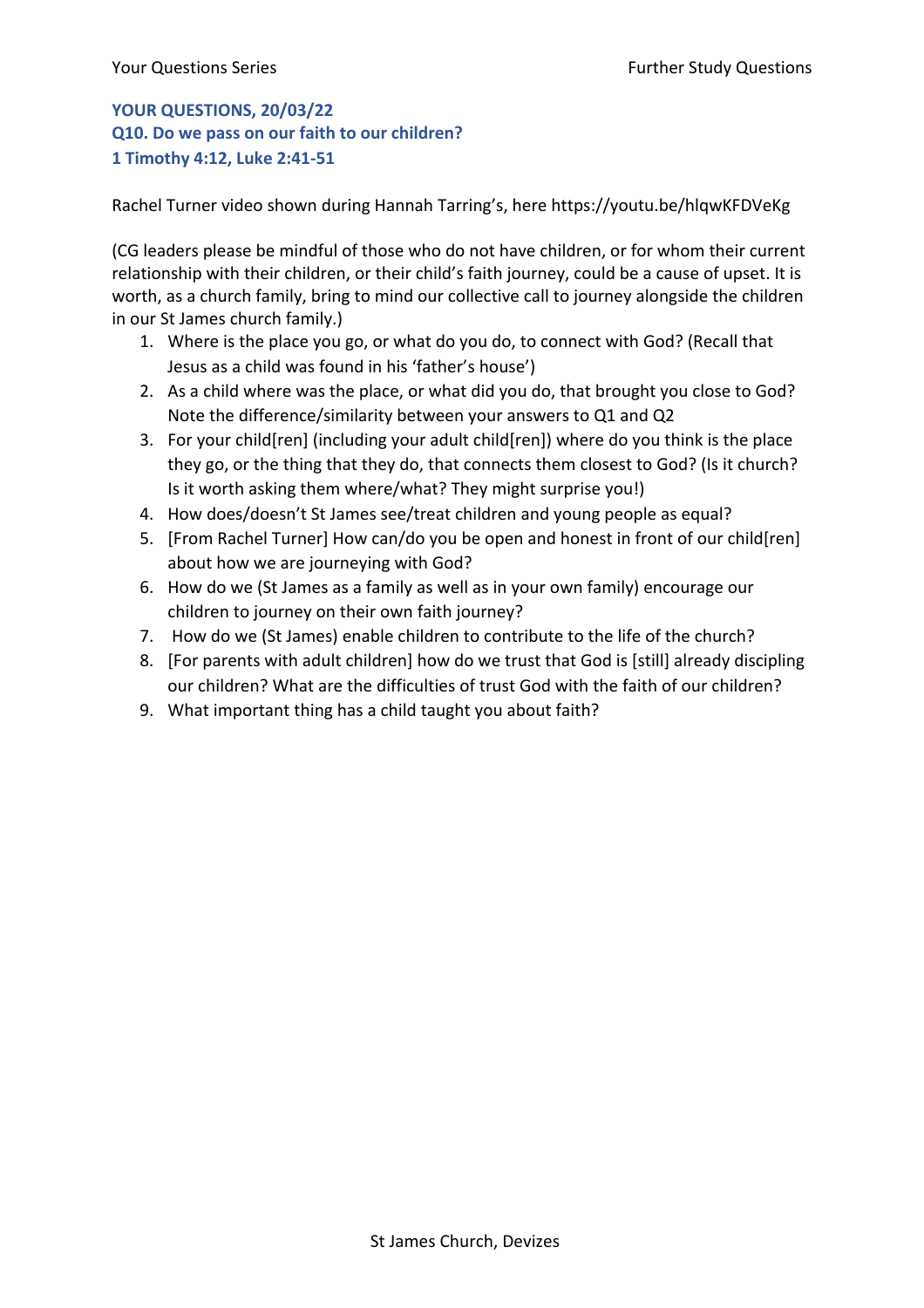## **YOUR QUESTIONS, 20/03/22 Q10. Do we pass on our faith to our children? 1 Timothy 4:12, Luke 2:41-51**

Rachel Turner video shown during Hannah Tarring's, here https://youtu.be/hlqwKFDVeKg

(CG leaders please be mindful of those who do not have children, or for whom their current relationship with their children, or their child's faith journey, could be a cause of upset. It is worth, as a church family, bring to mind our collective call to journey alongside the children in our St James church family.)

- 1. Where is the place you go, or what do you do, to connect with God? (Recall that Jesus as a child was found in his 'father's house')
- 2. As a child where was the place, or what did you do, that brought you close to God? Note the difference/similarity between your answers to Q1 and Q2
- 3. For your child[ren] (including your adult child[ren]) where do you think is the place they go, or the thing that they do, that connects them closest to God? (Is it church? Is it worth asking them where/what? They might surprise you!)
- 4. How does/doesn't St James see/treat children and young people as equal?
- 5. [From Rachel Turner] How can/do you be open and honest in front of our child[ren] about how we are journeying with God?
- 6. How do we (St James as a family as well as in your own family) encourage our children to journey on their own faith journey?
- 7. How do we (St James) enable children to contribute to the life of the church?
- 8. [For parents with adult children] how do we trust that God is [still] already discipling our children? What are the difficulties of trust God with the faith of our children?
- 9. What important thing has a child taught you about faith?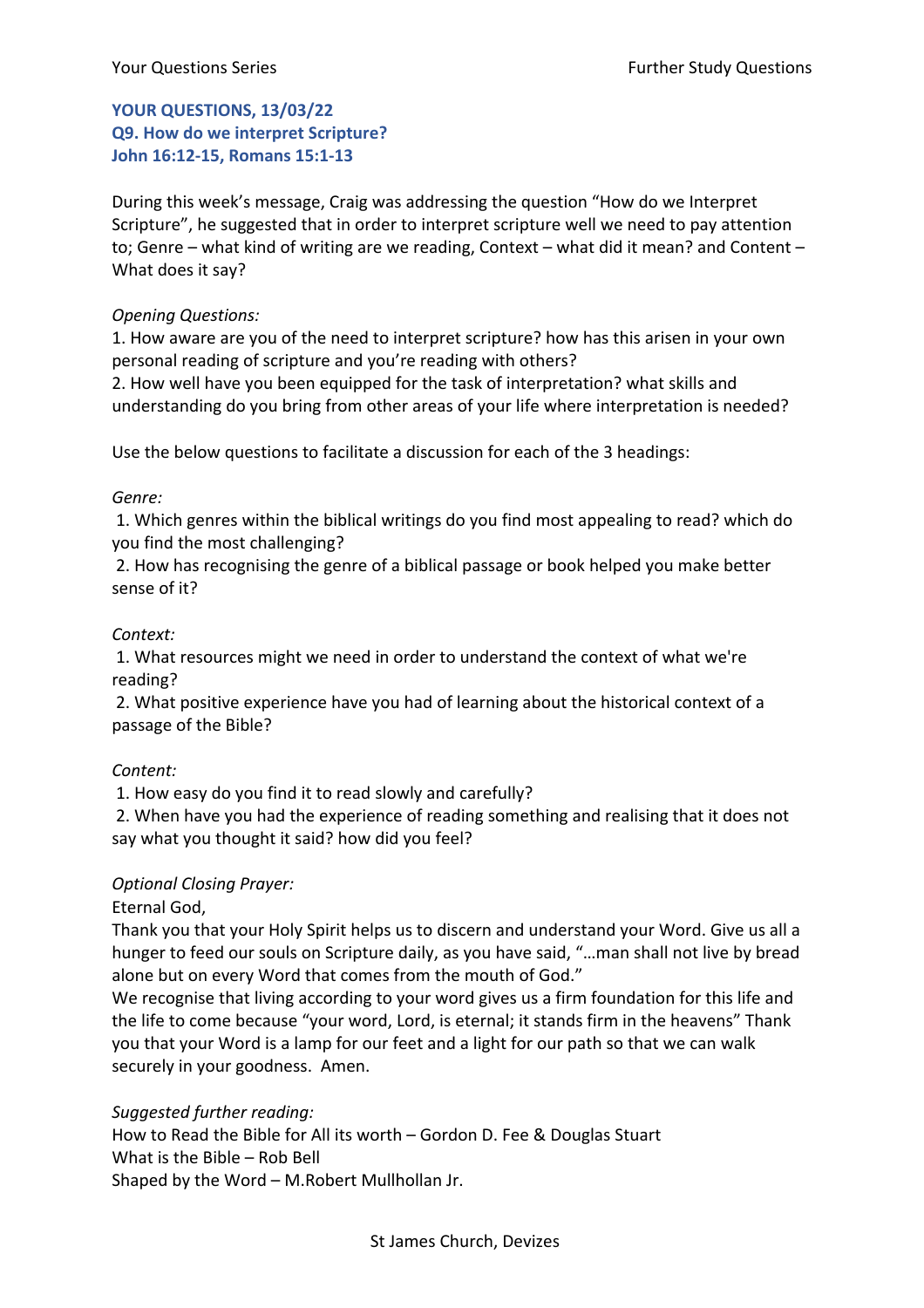## **YOUR QUESTIONS, 13/03/22 Q9. How do we interpret Scripture? John 16:12-15, Romans 15:1-13**

During this week's message, Craig was addressing the question "How do we Interpret Scripture", he suggested that in order to interpret scripture well we need to pay attention to; Genre – what kind of writing are we reading, Context – what did it mean? and Content – What does it say?

## *Opening Questions:*

1. How aware are you of the need to interpret scripture? how has this arisen in your own personal reading of scripture and you're reading with others?

2. How well have you been equipped for the task of interpretation? what skills and understanding do you bring from other areas of your life where interpretation is needed?

Use the below questions to facilitate a discussion for each of the 3 headings:

#### *Genre:*

1. Which genres within the biblical writings do you find most appealing to read? which do you find the most challenging?

2. How has recognising the genre of a biblical passage or book helped you make better sense of it?

## *Context:*

1. What resources might we need in order to understand the context of what we're reading?

2. What positive experience have you had of learning about the historical context of a passage of the Bible?

## *Content:*

1. How easy do you find it to read slowly and carefully?

2. When have you had the experience of reading something and realising that it does not say what you thought it said? how did you feel?

## *Optional Closing Prayer:*

Eternal God,

Thank you that your Holy Spirit helps us to discern and understand your Word. Give us all a hunger to feed our souls on Scripture daily, as you have said, "…man shall not live by bread alone but on every Word that comes from the mouth of God."

We recognise that living according to your word gives us a firm foundation for this life and the life to come because "your word, Lord, is eternal; it stands firm in the heavens" Thank you that your Word is a lamp for our feet and a light for our path so that we can walk securely in your goodness. Amen.

## *Suggested further reading:*

How to Read the Bible for All its worth – Gordon D. Fee & Douglas Stuart What is the Bible – Rob Bell Shaped by the Word – M.Robert Mullhollan Jr.

St James Church, Devizes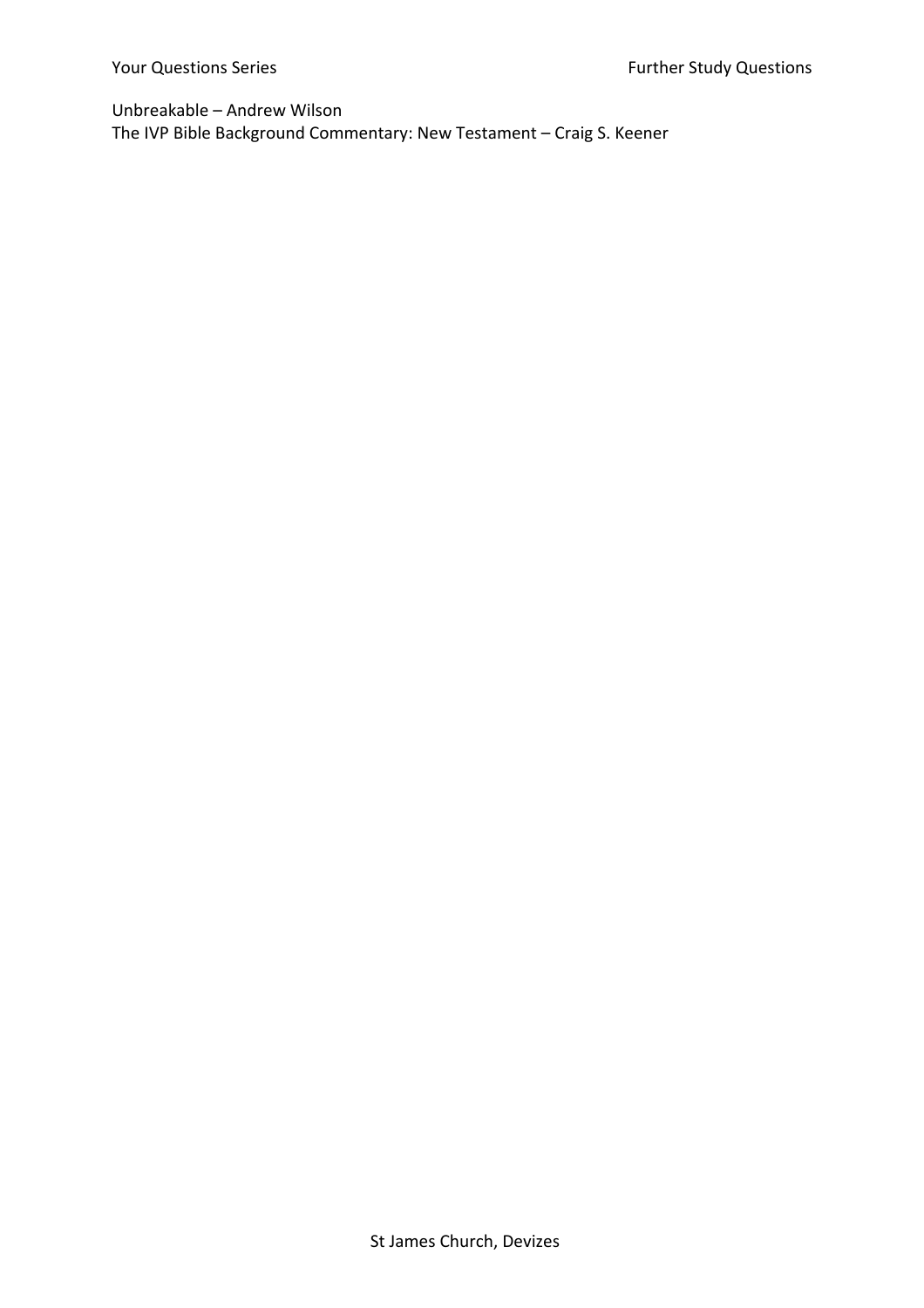Unbreakable – Andrew Wilson The IVP Bible Background Commentary: New Testament – Craig S. Keener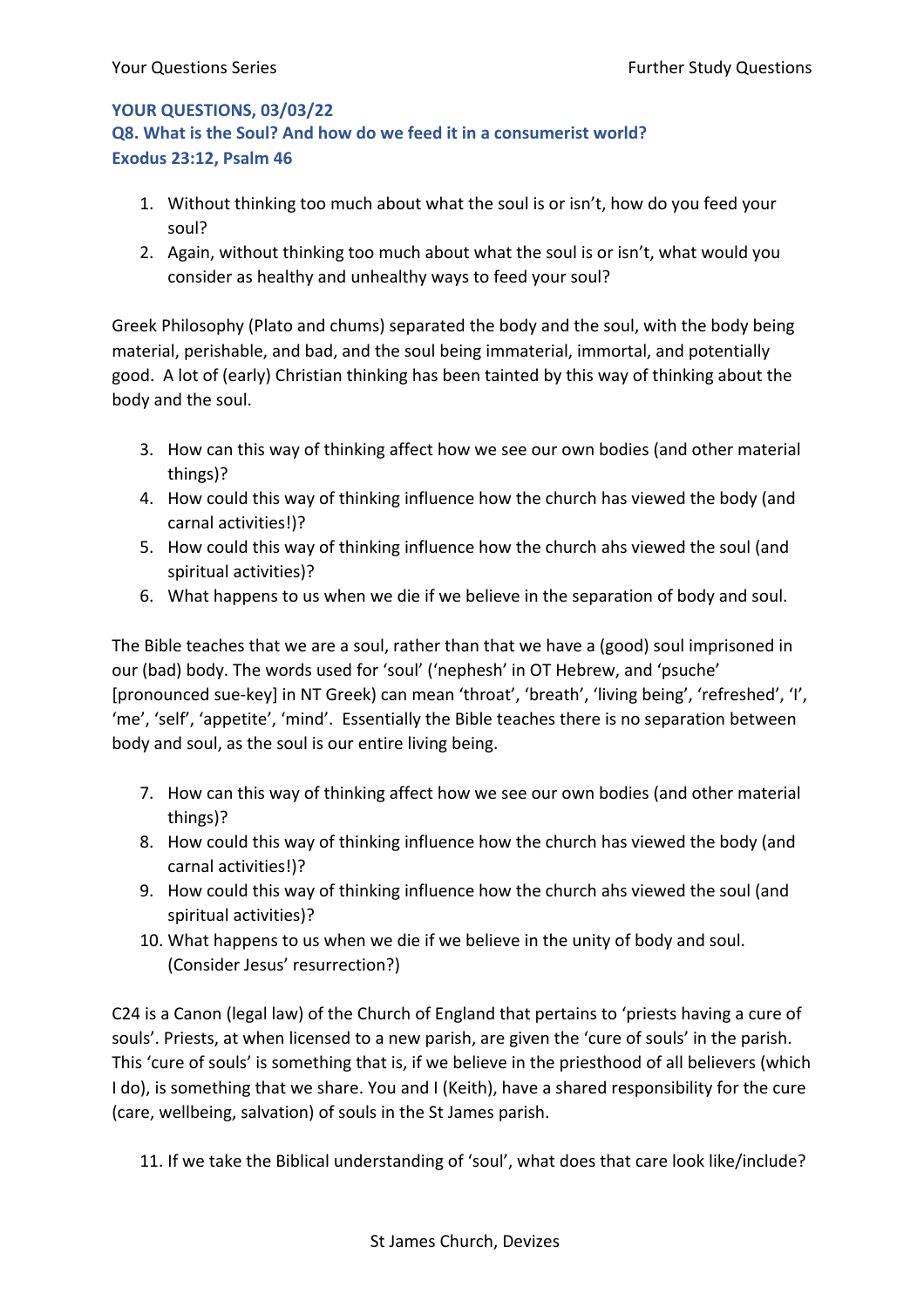## **YOUR QUESTIONS, 03/03/22 Q8. What is the Soul? And how do we feed it in a consumerist world? Exodus 23:12, Psalm 46**

- 1. Without thinking too much about what the soul is or isn't, how do you feed your soul?
- 2. Again, without thinking too much about what the soul is or isn't, what would you consider as healthy and unhealthy ways to feed your soul?

Greek Philosophy (Plato and chums) separated the body and the soul, with the body being material, perishable, and bad, and the soul being immaterial, immortal, and potentially good. A lot of (early) Christian thinking has been tainted by this way of thinking about the body and the soul.

- 3. How can this way of thinking affect how we see our own bodies (and other material things)?
- 4. How could this way of thinking influence how the church has viewed the body (and carnal activities!)?
- 5. How could this way of thinking influence how the church ahs viewed the soul (and spiritual activities)?
- 6. What happens to us when we die if we believe in the separation of body and soul.

The Bible teaches that we are a soul, rather than that we have a (good) soul imprisoned in our (bad) body. The words used for 'soul' ('nephesh' in OT Hebrew, and 'psuche' [pronounced sue-key] in NT Greek) can mean 'throat', 'breath', 'living being', 'refreshed', 'I', 'me', 'self', 'appetite', 'mind'. Essentially the Bible teaches there is no separation between body and soul, as the soul is our entire living being.

- 7. How can this way of thinking affect how we see our own bodies (and other material things)?
- 8. How could this way of thinking influence how the church has viewed the body (and carnal activities!)?
- 9. How could this way of thinking influence how the church ahs viewed the soul (and spiritual activities)?
- 10. What happens to us when we die if we believe in the unity of body and soul. (Consider Jesus' resurrection?)

C24 is a Canon (legal law) of the Church of England that pertains to 'priests having a cure of souls'. Priests, at when licensed to a new parish, are given the 'cure of souls' in the parish. This 'cure of souls' is something that is, if we believe in the priesthood of all believers (which I do), is something that we share. You and I (Keith), have a shared responsibility for the cure (care, wellbeing, salvation) of souls in the St James parish.

11. If we take the Biblical understanding of 'soul', what does that care look like/include?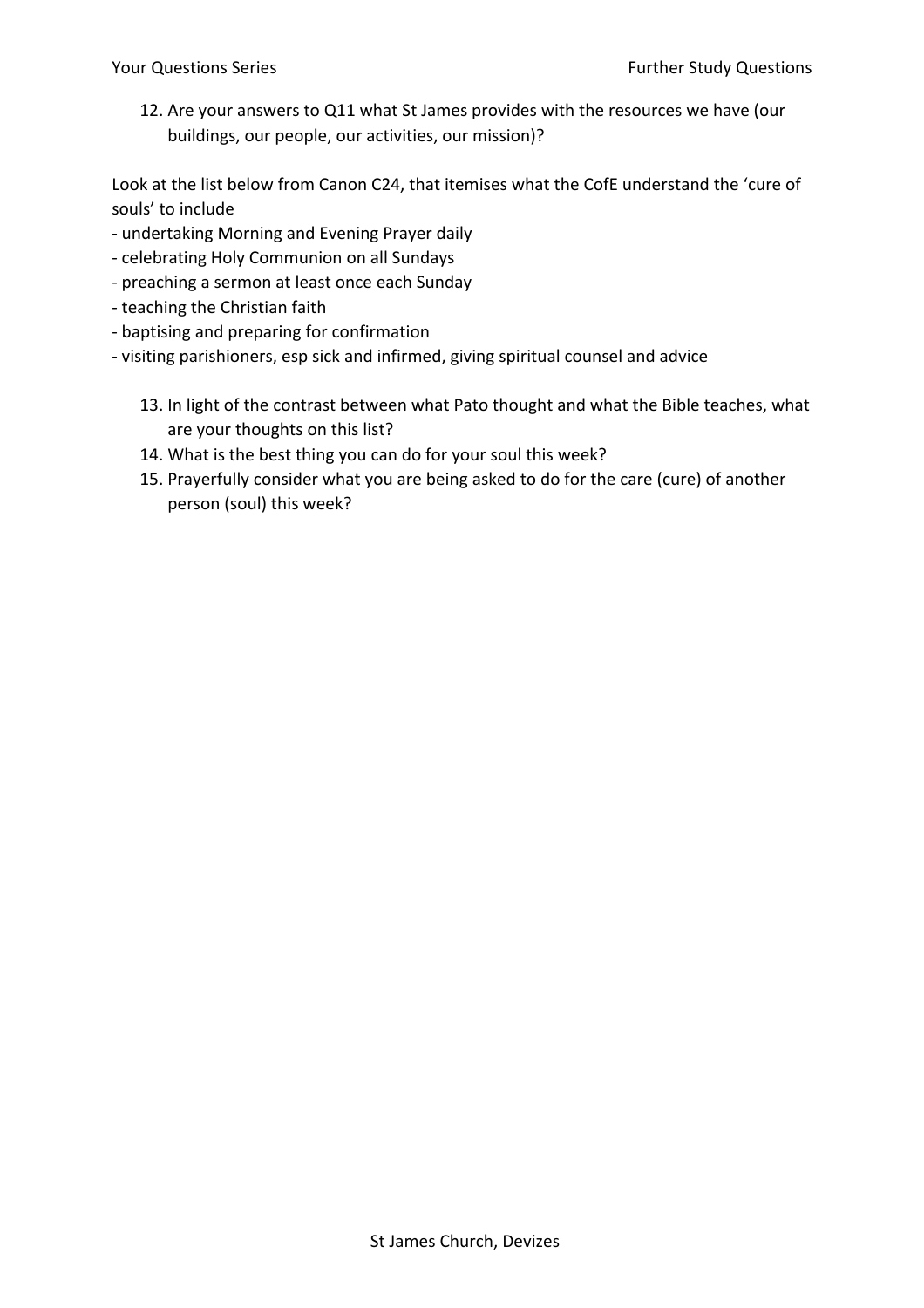12. Are your answers to Q11 what St James provides with the resources we have (our buildings, our people, our activities, our mission)?

Look at the list below from Canon C24, that itemises what the CofE understand the 'cure of souls' to include

- undertaking Morning and Evening Prayer daily
- celebrating Holy Communion on all Sundays
- preaching a sermon at least once each Sunday
- teaching the Christian faith
- baptising and preparing for confirmation
- visiting parishioners, esp sick and infirmed, giving spiritual counsel and advice
	- 13. In light of the contrast between what Pato thought and what the Bible teaches, what are your thoughts on this list?
	- 14. What is the best thing you can do for your soul this week?
	- 15. Prayerfully consider what you are being asked to do for the care (cure) of another person (soul) this week?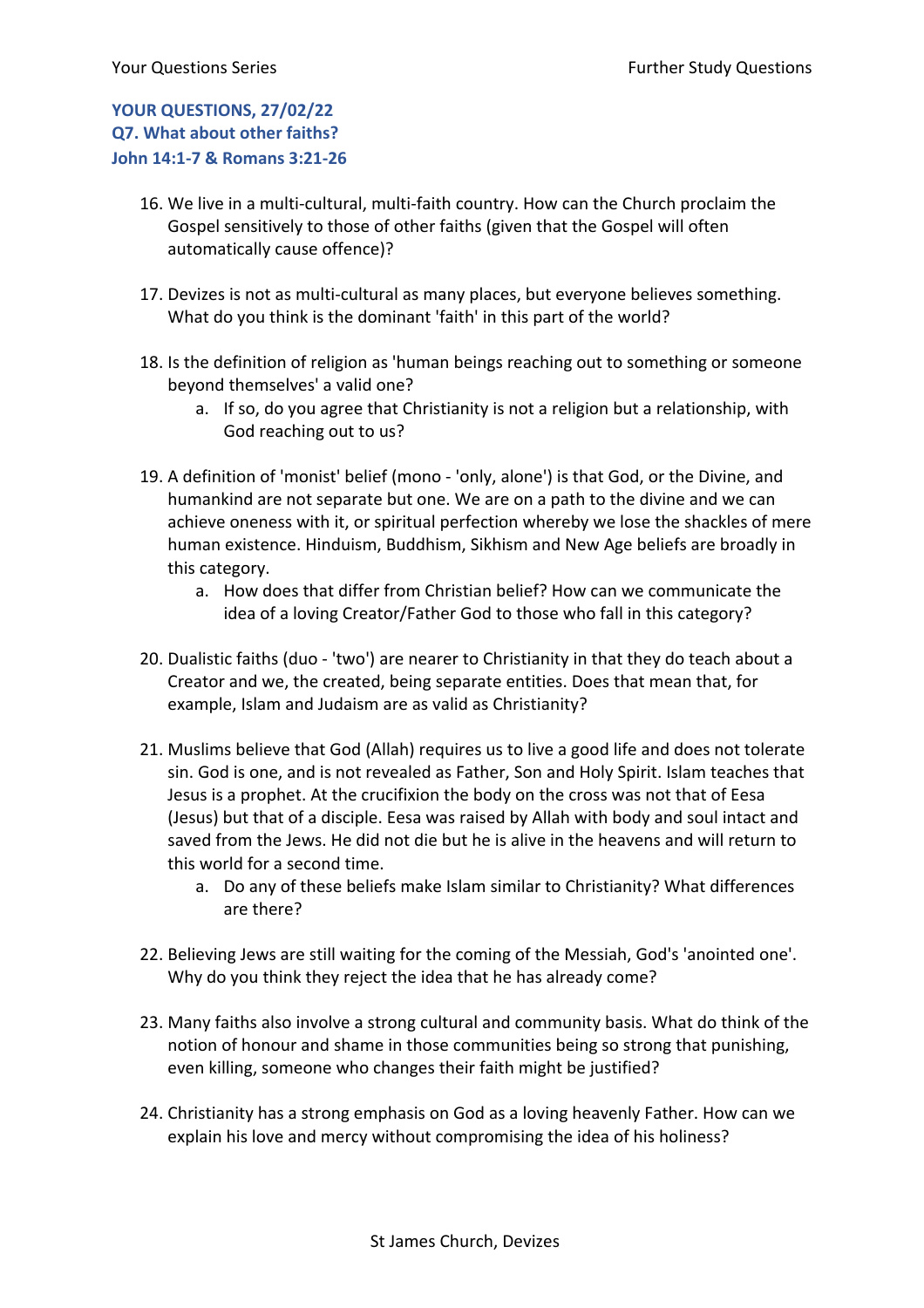**YOUR QUESTIONS, 27/02/22 Q7. What about other faiths? John 14:1-7 & Romans 3:21-26**

- 16. We live in a multi-cultural, multi-faith country. How can the Church proclaim the Gospel sensitively to those of other faiths (given that the Gospel will often automatically cause offence)?
- 17. Devizes is not as multi-cultural as many places, but everyone believes something. What do you think is the dominant 'faith' in this part of the world?
- 18. Is the definition of religion as 'human beings reaching out to something or someone beyond themselves' a valid one?
	- a. If so, do you agree that Christianity is not a religion but a relationship, with God reaching out to us?
- 19. A definition of 'monist' belief (mono 'only, alone') is that God, or the Divine, and humankind are not separate but one. We are on a path to the divine and we can achieve oneness with it, or spiritual perfection whereby we lose the shackles of mere human existence. Hinduism, Buddhism, Sikhism and New Age beliefs are broadly in this category.
	- a. How does that differ from Christian belief? How can we communicate the idea of a loving Creator/Father God to those who fall in this category?
- 20. Dualistic faiths (duo 'two') are nearer to Christianity in that they do teach about a Creator and we, the created, being separate entities. Does that mean that, for example, Islam and Judaism are as valid as Christianity?
- 21. Muslims believe that God (Allah) requires us to live a good life and does not tolerate sin. God is one, and is not revealed as Father, Son and Holy Spirit. Islam teaches that Jesus is a prophet. At the crucifixion the body on the cross was not that of Eesa (Jesus) but that of a disciple. Eesa was raised by Allah with body and soul intact and saved from the Jews. He did not die but he is alive in the heavens and will return to this world for a second time.
	- a. Do any of these beliefs make Islam similar to Christianity? What differences are there?
- 22. Believing Jews are still waiting for the coming of the Messiah, God's 'anointed one'. Why do you think they reject the idea that he has already come?
- 23. Many faiths also involve a strong cultural and community basis. What do think of the notion of honour and shame in those communities being so strong that punishing, even killing, someone who changes their faith might be justified?
- 24. Christianity has a strong emphasis on God as a loving heavenly Father. How can we explain his love and mercy without compromising the idea of his holiness?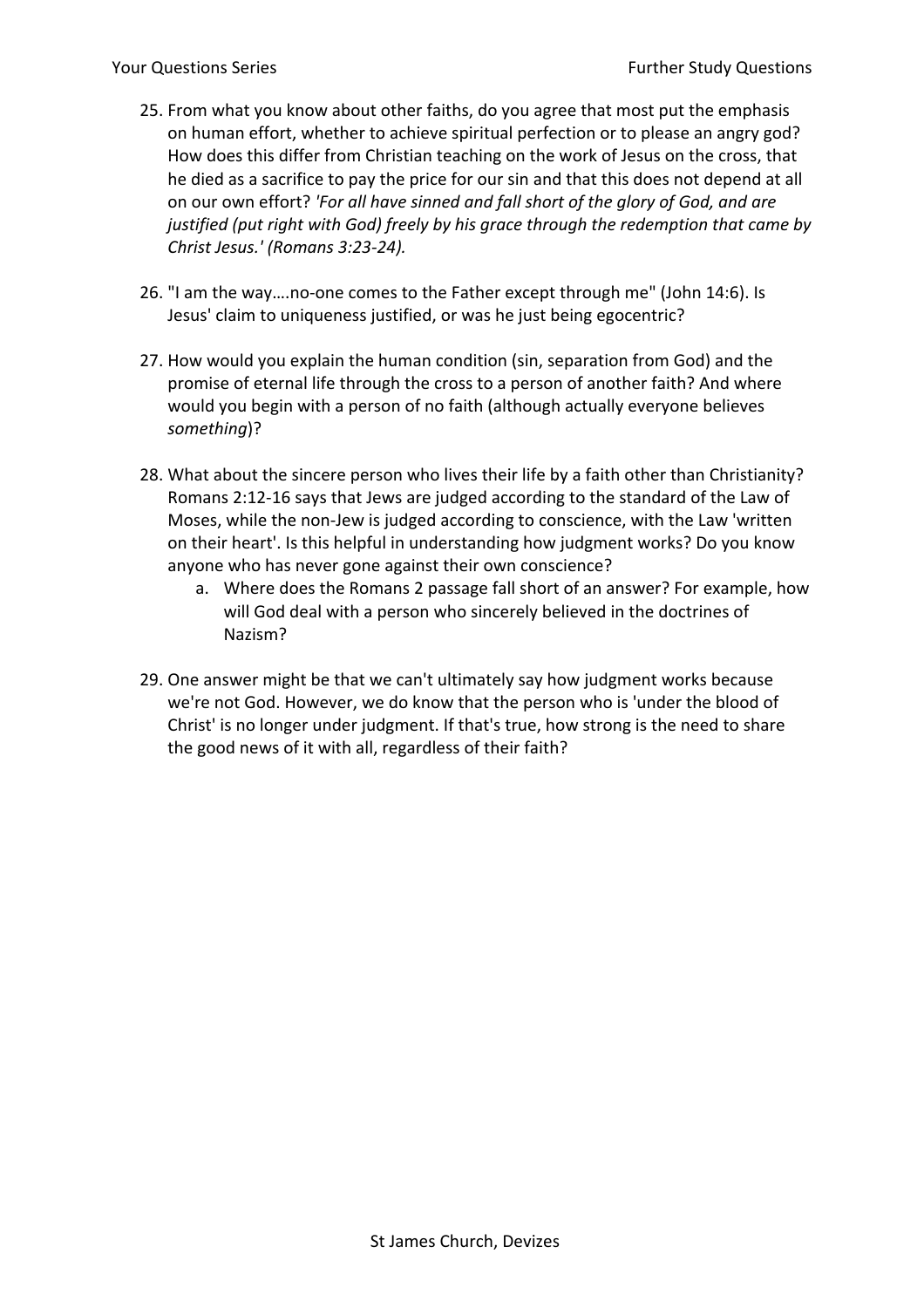- 25. From what you know about other faiths, do you agree that most put the emphasis on human effort, whether to achieve spiritual perfection or to please an angry god? How does this differ from Christian teaching on the work of Jesus on the cross, that he died as a sacrifice to pay the price for our sin and that this does not depend at all on our own effort? *'For all have sinned and fall short of the glory of God, and are justified (put right with God) freely by his grace through the redemption that came by Christ Jesus.' (Romans 3:23-24).*
- 26. "I am the way….no-one comes to the Father except through me" (John 14:6). Is Jesus' claim to uniqueness justified, or was he just being egocentric?
- 27. How would you explain the human condition (sin, separation from God) and the promise of eternal life through the cross to a person of another faith? And where would you begin with a person of no faith (although actually everyone believes *something*)?
- 28. What about the sincere person who lives their life by a faith other than Christianity? Romans 2:12-16 says that Jews are judged according to the standard of the Law of Moses, while the non-Jew is judged according to conscience, with the Law 'written on their heart'. Is this helpful in understanding how judgment works? Do you know anyone who has never gone against their own conscience?
	- a. Where does the Romans 2 passage fall short of an answer? For example, how will God deal with a person who sincerely believed in the doctrines of Nazism?
- 29. One answer might be that we can't ultimately say how judgment works because we're not God. However, we do know that the person who is 'under the blood of Christ' is no longer under judgment. If that's true, how strong is the need to share the good news of it with all, regardless of their faith?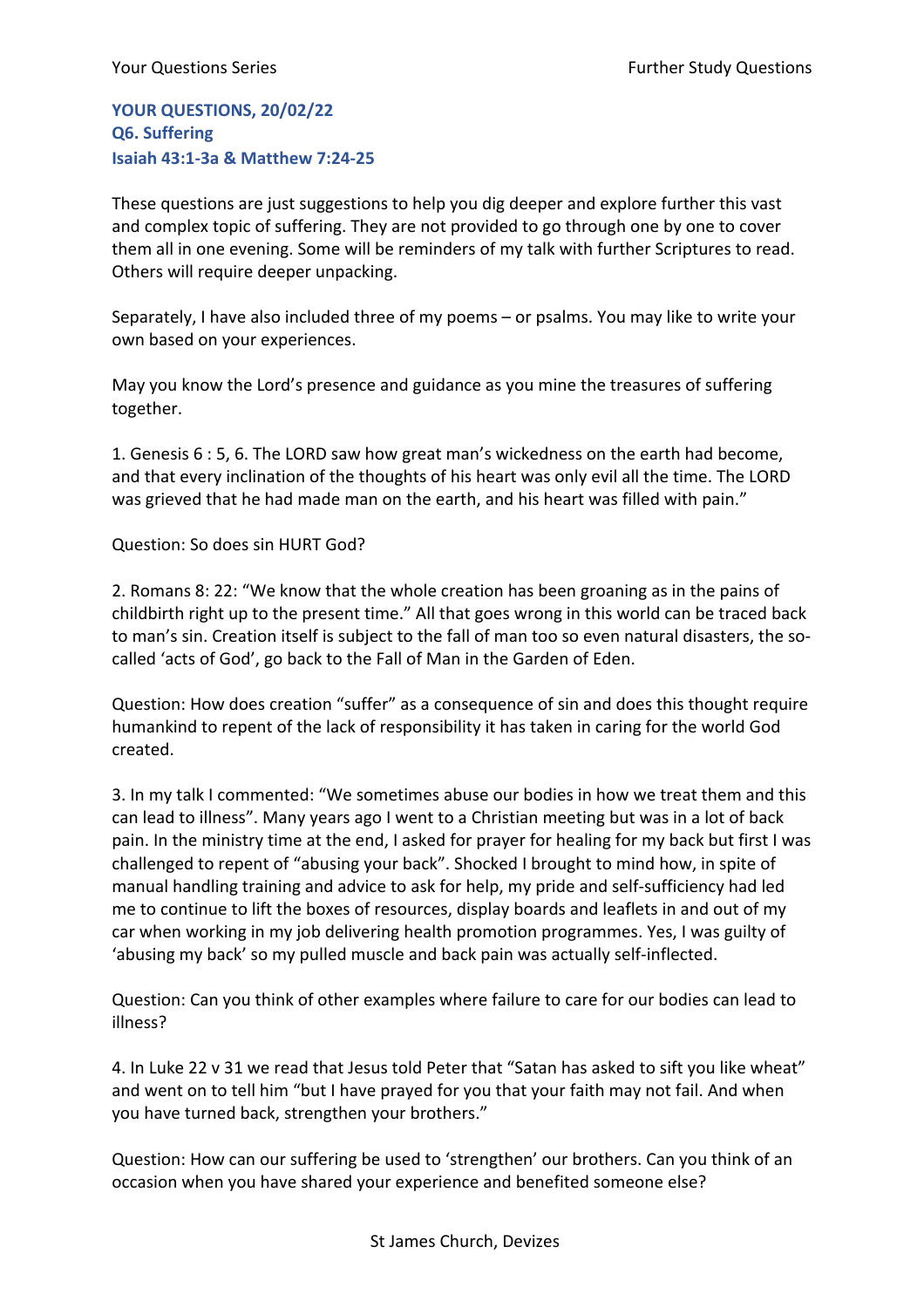## **YOUR QUESTIONS, 20/02/22 Q6. Suffering Isaiah 43:1-3a & Matthew 7:24-25**

These questions are just suggestions to help you dig deeper and explore further this vast and complex topic of suffering. They are not provided to go through one by one to cover them all in one evening. Some will be reminders of my talk with further Scriptures to read. Others will require deeper unpacking.

Separately, I have also included three of my poems – or psalms. You may like to write your own based on your experiences.

May you know the Lord's presence and guidance as you mine the treasures of suffering together.

1. Genesis 6 : 5, 6. The LORD saw how great man's wickedness on the earth had become, and that every inclination of the thoughts of his heart was only evil all the time. The LORD was grieved that he had made man on the earth, and his heart was filled with pain."

Question: So does sin HURT God?

2. Romans 8: 22: "We know that the whole creation has been groaning as in the pains of childbirth right up to the present time." All that goes wrong in this world can be traced back to man's sin. Creation itself is subject to the fall of man too so even natural disasters, the socalled 'acts of God', go back to the Fall of Man in the Garden of Eden.

Question: How does creation "suffer" as a consequence of sin and does this thought require humankind to repent of the lack of responsibility it has taken in caring for the world God created.

3. In my talk I commented: "We sometimes abuse our bodies in how we treat them and this can lead to illness". Many years ago I went to a Christian meeting but was in a lot of back pain. In the ministry time at the end, I asked for prayer for healing for my back but first I was challenged to repent of "abusing your back". Shocked I brought to mind how, in spite of manual handling training and advice to ask for help, my pride and self-sufficiency had led me to continue to lift the boxes of resources, display boards and leaflets in and out of my car when working in my job delivering health promotion programmes. Yes, I was guilty of 'abusing my back' so my pulled muscle and back pain was actually self-inflected.

Question: Can you think of other examples where failure to care for our bodies can lead to illness?

4. In Luke 22 v 31 we read that Jesus told Peter that "Satan has asked to sift you like wheat" and went on to tell him "but I have prayed for you that your faith may not fail. And when you have turned back, strengthen your brothers."

Question: How can our suffering be used to 'strengthen' our brothers. Can you think of an occasion when you have shared your experience and benefited someone else?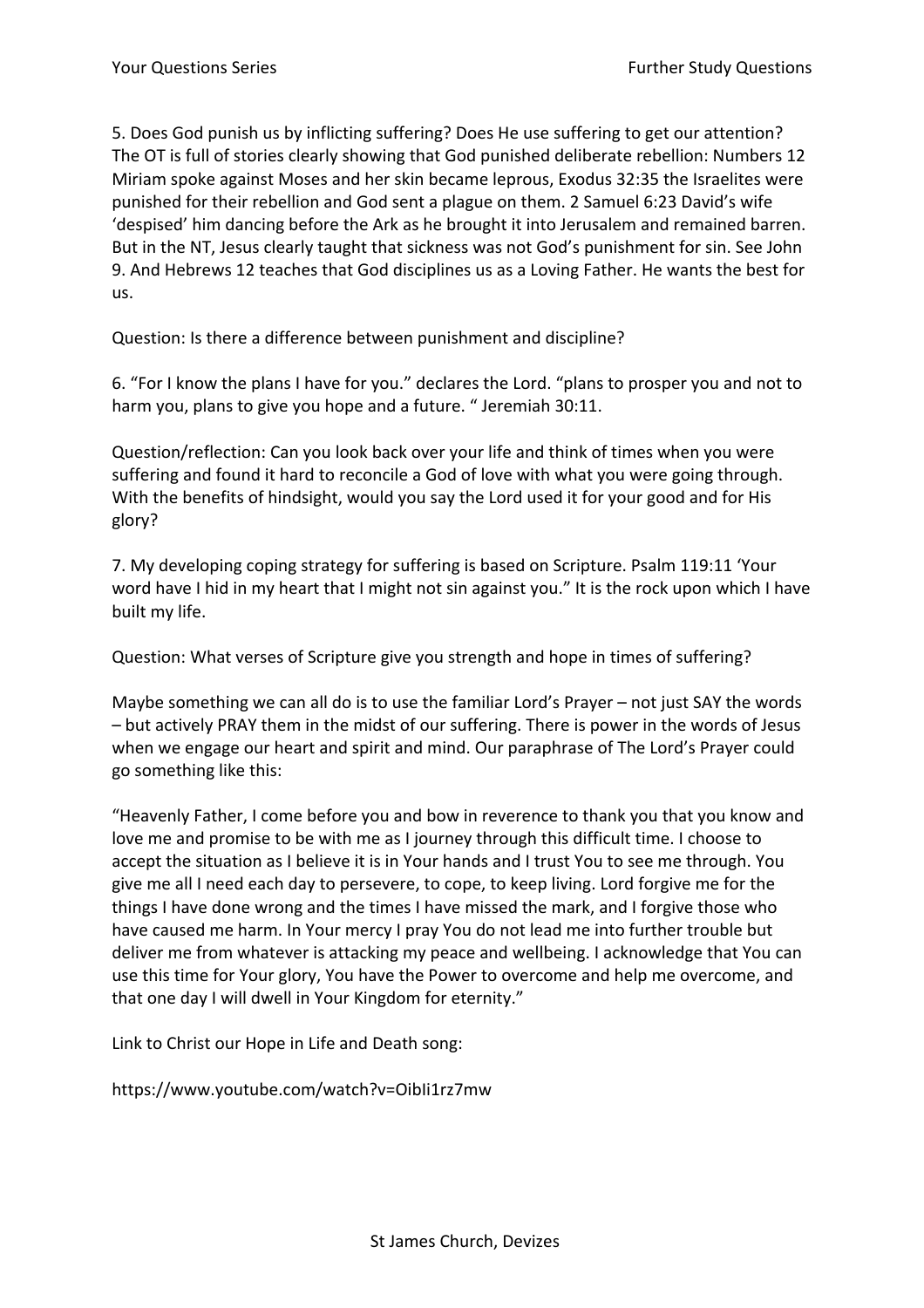5. Does God punish us by inflicting suffering? Does He use suffering to get our attention? The OT is full of stories clearly showing that God punished deliberate rebellion: Numbers 12 Miriam spoke against Moses and her skin became leprous, Exodus 32:35 the Israelites were punished for their rebellion and God sent a plague on them. 2 Samuel 6:23 David's wife 'despised' him dancing before the Ark as he brought it into Jerusalem and remained barren. But in the NT, Jesus clearly taught that sickness was not God's punishment for sin. See John 9. And Hebrews 12 teaches that God disciplines us as a Loving Father. He wants the best for us.

Question: Is there a difference between punishment and discipline?

6. "For I know the plans I have for you." declares the Lord. "plans to prosper you and not to harm you, plans to give you hope and a future. "Jeremiah 30:11.

Question/reflection: Can you look back over your life and think of times when you were suffering and found it hard to reconcile a God of love with what you were going through. With the benefits of hindsight, would you say the Lord used it for your good and for His glory?

7. My developing coping strategy for suffering is based on Scripture. Psalm 119:11 'Your word have I hid in my heart that I might not sin against you." It is the rock upon which I have built my life.

Question: What verses of Scripture give you strength and hope in times of suffering?

Maybe something we can all do is to use the familiar Lord's Prayer – not just SAY the words – but actively PRAY them in the midst of our suffering. There is power in the words of Jesus when we engage our heart and spirit and mind. Our paraphrase of The Lord's Prayer could go something like this:

"Heavenly Father, I come before you and bow in reverence to thank you that you know and love me and promise to be with me as I journey through this difficult time. I choose to accept the situation as I believe it is in Your hands and I trust You to see me through. You give me all I need each day to persevere, to cope, to keep living. Lord forgive me for the things I have done wrong and the times I have missed the mark, and I forgive those who have caused me harm. In Your mercy I pray You do not lead me into further trouble but deliver me from whatever is attacking my peace and wellbeing. I acknowledge that You can use this time for Your glory, You have the Power to overcome and help me overcome, and that one day I will dwell in Your Kingdom for eternity."

Link to Christ our Hope in Life and Death song:

https://www.youtube.com/watch?v=OibIi1rz7mw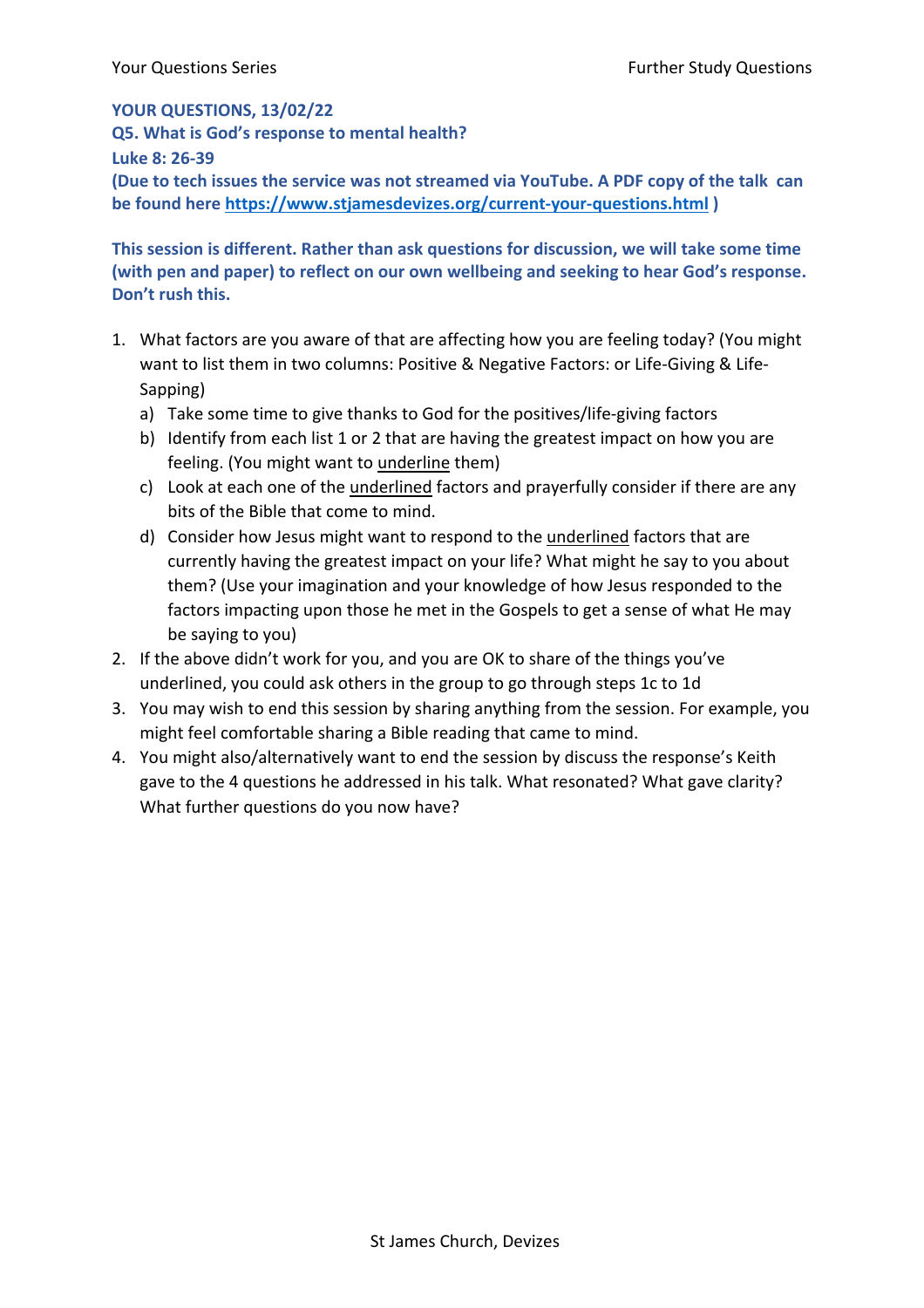#### **YOUR QUESTIONS, 13/02/22**

**Q5. What is God's response to mental health? Luke 8: 26-39 (Due to tech issues the service was not streamed via YouTube. A PDF copy of the talk can be found here https://www.stjamesdevizes.org/current-your-questions.html )**

**This session is different. Rather than ask questions for discussion, we will take some time (with pen and paper) to reflect on our own wellbeing and seeking to hear God's response. Don't rush this.**

- 1. What factors are you aware of that are affecting how you are feeling today? (You might want to list them in two columns: Positive & Negative Factors: or Life-Giving & Life-Sapping)
	- a) Take some time to give thanks to God for the positives/life-giving factors
	- b) Identify from each list 1 or 2 that are having the greatest impact on how you are feeling. (You might want to underline them)
	- c) Look at each one of the underlined factors and prayerfully consider if there are any bits of the Bible that come to mind.
	- d) Consider how Jesus might want to respond to the underlined factors that are currently having the greatest impact on your life? What might he say to you about them? (Use your imagination and your knowledge of how Jesus responded to the factors impacting upon those he met in the Gospels to get a sense of what He may be saying to you)
- 2. If the above didn't work for you, and you are OK to share of the things you've underlined, you could ask others in the group to go through steps 1c to 1d
- 3. You may wish to end this session by sharing anything from the session. For example, you might feel comfortable sharing a Bible reading that came to mind.
- 4. You might also/alternatively want to end the session by discuss the response's Keith gave to the 4 questions he addressed in his talk. What resonated? What gave clarity? What further questions do you now have?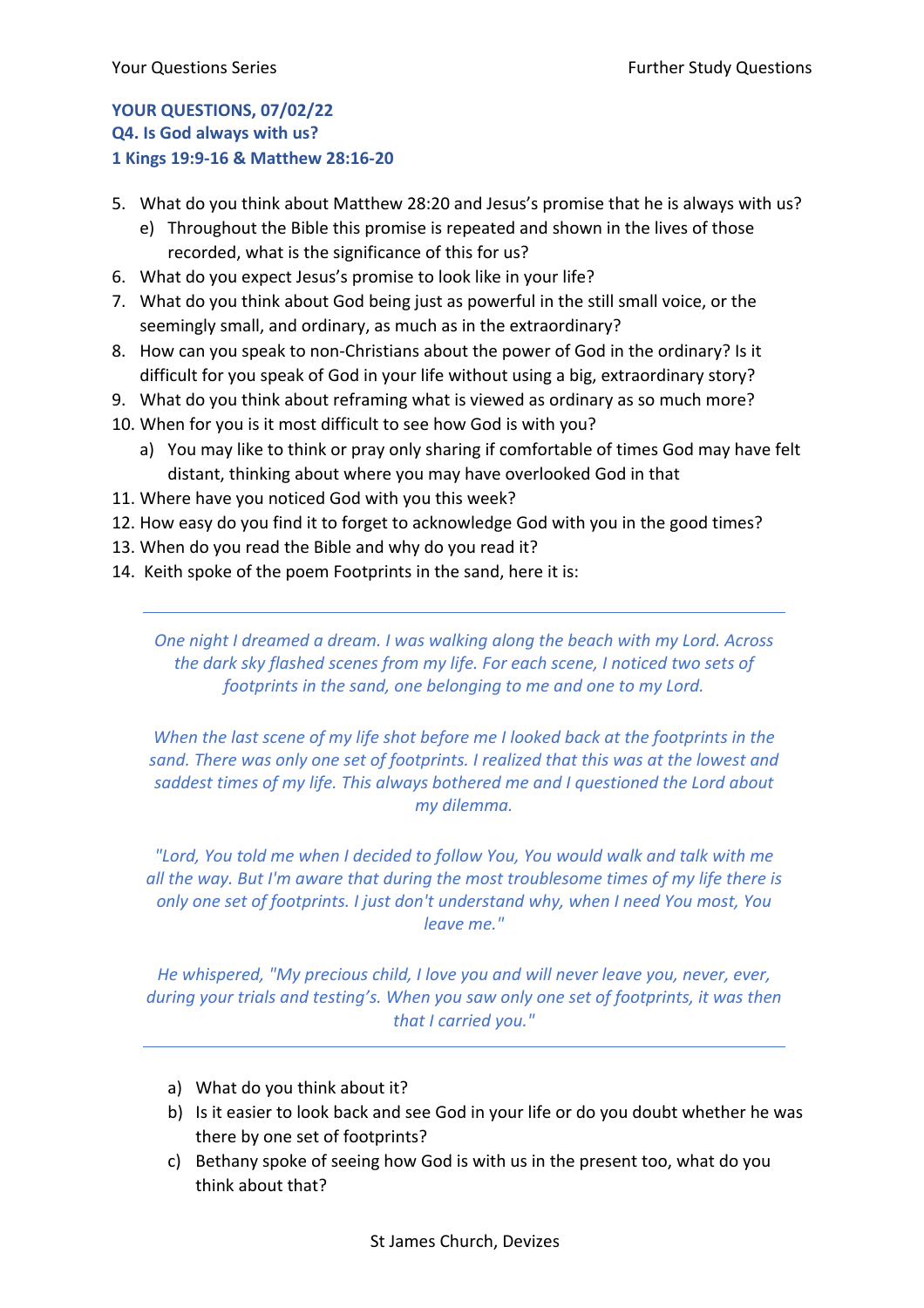## **YOUR QUESTIONS, 07/02/22 Q4. Is God always with us? 1 Kings 19:9-16 & Matthew 28:16-20**

- 5. What do you think about Matthew 28:20 and Jesus's promise that he is always with us?
	- e) Throughout the Bible this promise is repeated and shown in the lives of those recorded, what is the significance of this for us?
- 6. What do you expect Jesus's promise to look like in your life?
- 7. What do you think about God being just as powerful in the still small voice, or the seemingly small, and ordinary, as much as in the extraordinary?
- 8. How can you speak to non-Christians about the power of God in the ordinary? Is it difficult for you speak of God in your life without using a big, extraordinary story?
- 9. What do you think about reframing what is viewed as ordinary as so much more?
- 10. When for you is it most difficult to see how God is with you?
	- a) You may like to think or pray only sharing if comfortable of times God may have felt distant, thinking about where you may have overlooked God in that
- 11. Where have you noticed God with you this week?
- 12. How easy do you find it to forget to acknowledge God with you in the good times?
- 13. When do you read the Bible and why do you read it?
- 14. Keith spoke of the poem Footprints in the sand, here it is:

*One night I dreamed a dream. I was walking along the beach with my Lord. Across the dark sky flashed scenes from my life. For each scene, I noticed two sets of footprints in the sand, one belonging to me and one to my Lord.*

*When the last scene of my life shot before me I looked back at the footprints in the sand. There was only one set of footprints. I realized that this was at the lowest and saddest times of my life. This always bothered me and I questioned the Lord about my dilemma.*

*"Lord, You told me when I decided to follow You, You would walk and talk with me all the way. But I'm aware that during the most troublesome times of my life there is only one set of footprints. I just don't understand why, when I need You most, You leave me."*

*He whispered, "My precious child, I love you and will never leave you, never, ever, during your trials and testing's. When you saw only one set of footprints, it was then that I carried you."*

- a) What do you think about it?
- b) Is it easier to look back and see God in your life or do you doubt whether he was there by one set of footprints?
- c) Bethany spoke of seeing how God is with us in the present too, what do you think about that?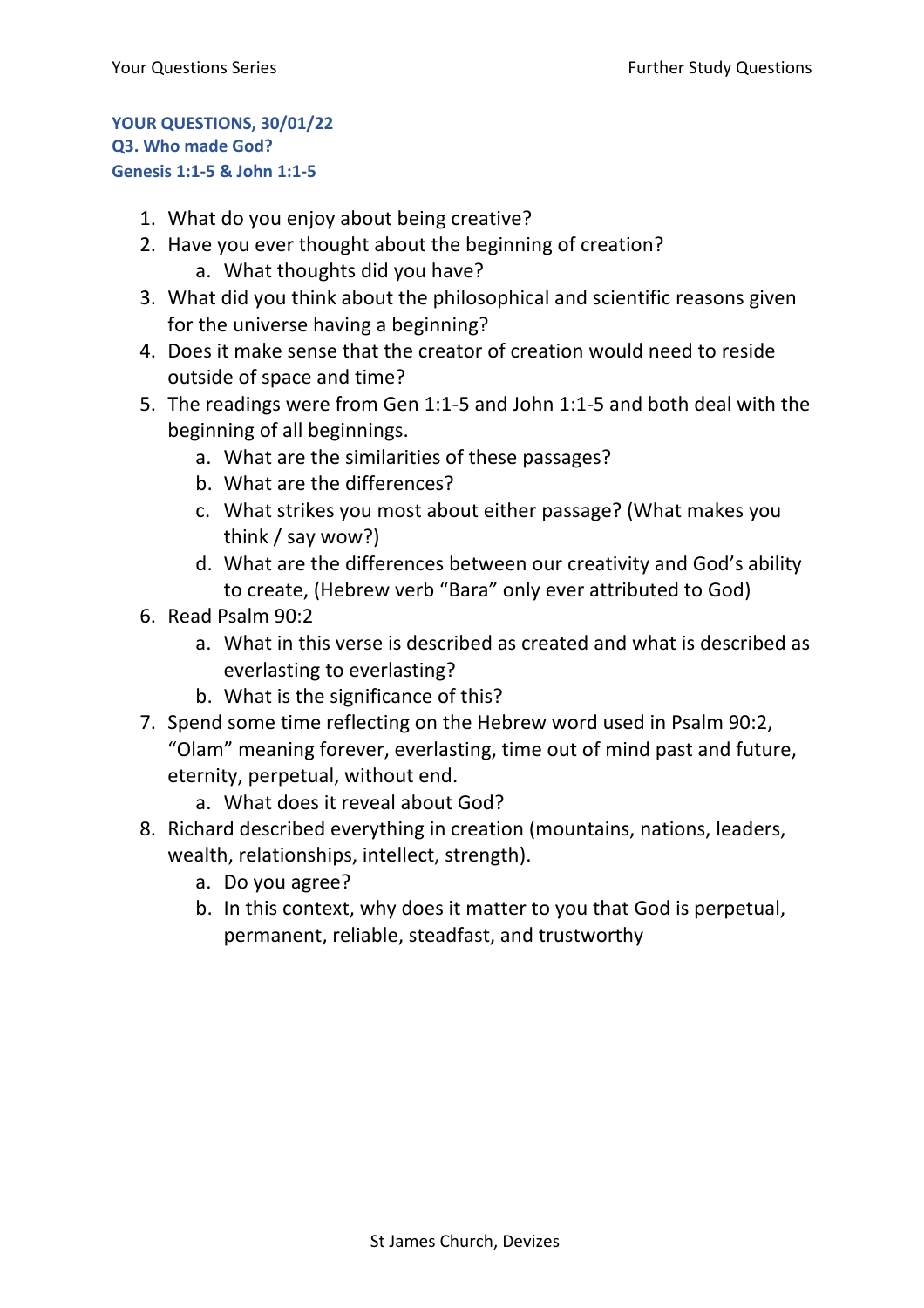## **YOUR QUESTIONS, 30/01/22 Q3. Who made God? Genesis 1:1-5 & John 1:1-5**

- 1. What do you enjoy about being creative?
- 2. Have you ever thought about the beginning of creation?
	- a. What thoughts did you have?
- 3. What did you think about the philosophical and scientific reasons given for the universe having a beginning?
- 4. Does it make sense that the creator of creation would need to reside outside of space and time?
- 5. The readings were from Gen 1:1-5 and John 1:1-5 and both deal with the beginning of all beginnings.
	- a. What are the similarities of these passages?
	- b. What are the differences?
	- c. What strikes you most about either passage? (What makes you think / say wow?)
	- d. What are the differences between our creativity and God's ability to create, (Hebrew verb "Bara" only ever attributed to God)
- 6. Read Psalm 90:2
	- a. What in this verse is described as created and what is described as everlasting to everlasting?
	- b. What is the significance of this?
- 7. Spend some time reflecting on the Hebrew word used in Psalm 90:2, "Olam" meaning forever, everlasting, time out of mind past and future, eternity, perpetual, without end.
	- a. What does it reveal about God?
- 8. Richard described everything in creation (mountains, nations, leaders, wealth, relationships, intellect, strength).
	- a. Do you agree?
	- b. In this context, why does it matter to you that God is perpetual, permanent, reliable, steadfast, and trustworthy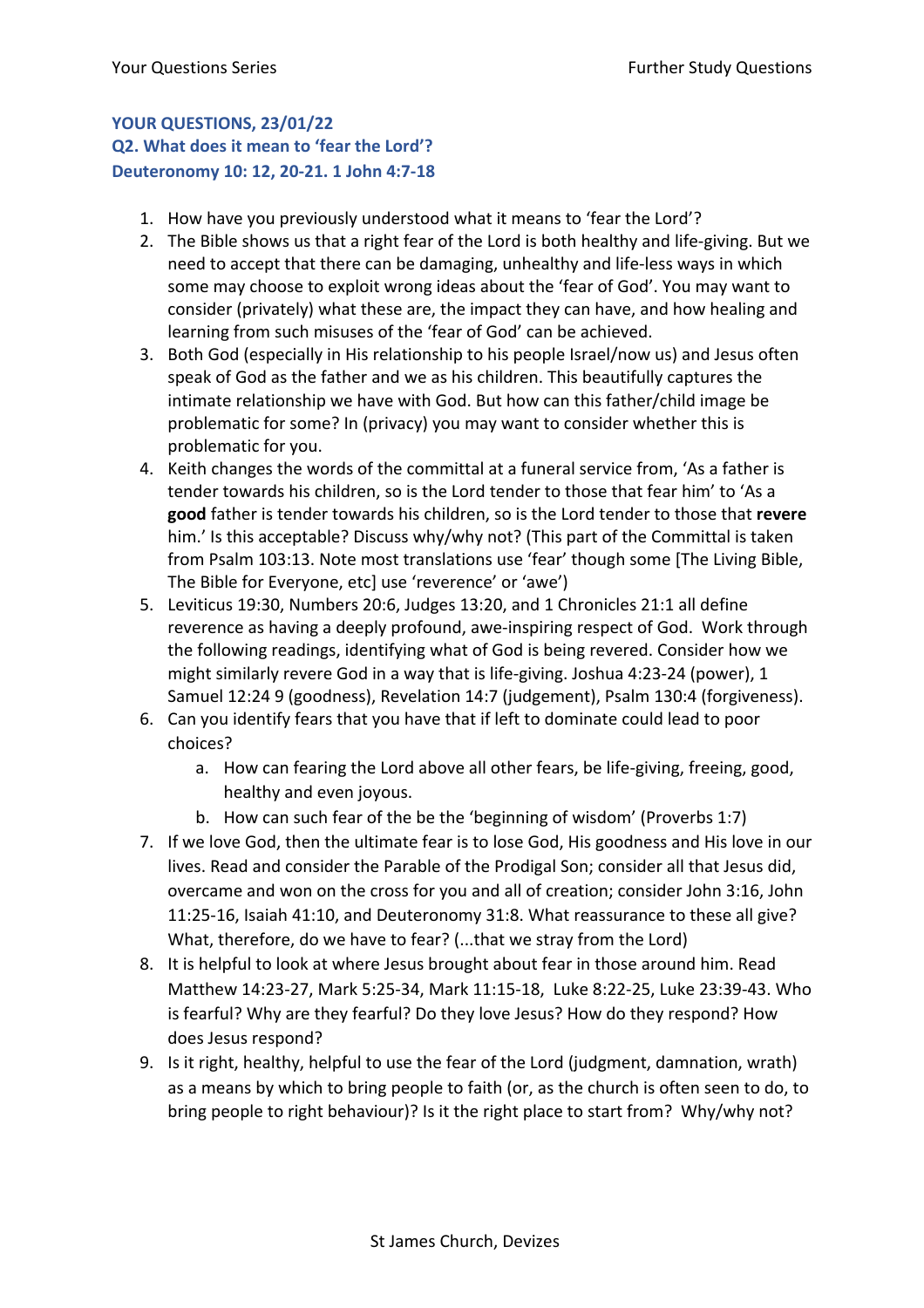## **YOUR QUESTIONS, 23/01/22 Q2. What does it mean to 'fear the Lord'? Deuteronomy 10: 12, 20-21. 1 John 4:7-18**

- 1. How have you previously understood what it means to 'fear the Lord'?
- 2. The Bible shows us that a right fear of the Lord is both healthy and life-giving. But we need to accept that there can be damaging, unhealthy and life-less ways in which some may choose to exploit wrong ideas about the 'fear of God'. You may want to consider (privately) what these are, the impact they can have, and how healing and learning from such misuses of the 'fear of God' can be achieved.
- 3. Both God (especially in His relationship to his people Israel/now us) and Jesus often speak of God as the father and we as his children. This beautifully captures the intimate relationship we have with God. But how can this father/child image be problematic for some? In (privacy) you may want to consider whether this is problematic for you.
- 4. Keith changes the words of the committal at a funeral service from, 'As a father is tender towards his children, so is the Lord tender to those that fear him' to 'As a **good** father is tender towards his children, so is the Lord tender to those that **revere**  him.' Is this acceptable? Discuss why/why not? (This part of the Committal is taken from Psalm 103:13. Note most translations use 'fear' though some [The Living Bible, The Bible for Everyone, etc] use 'reverence' or 'awe')
- 5. Leviticus 19:30, Numbers 20:6, Judges 13:20, and 1 Chronicles 21:1 all define reverence as having a deeply profound, awe-inspiring respect of God. Work through the following readings, identifying what of God is being revered. Consider how we might similarly revere God in a way that is life-giving. Joshua 4:23-24 (power), 1 Samuel 12:24 9 (goodness), Revelation 14:7 (judgement), Psalm 130:4 (forgiveness).
- 6. Can you identify fears that you have that if left to dominate could lead to poor choices?
	- a. How can fearing the Lord above all other fears, be life-giving, freeing, good, healthy and even joyous.
	- b. How can such fear of the be the 'beginning of wisdom' (Proverbs 1:7)
- 7. If we love God, then the ultimate fear is to lose God, His goodness and His love in our lives. Read and consider the Parable of the Prodigal Son; consider all that Jesus did, overcame and won on the cross for you and all of creation; consider John 3:16, John 11:25-16, Isaiah 41:10, and Deuteronomy 31:8. What reassurance to these all give? What, therefore, do we have to fear? (...that we stray from the Lord)
- 8. It is helpful to look at where Jesus brought about fear in those around him. Read Matthew 14:23-27, Mark 5:25-34, Mark 11:15-18, Luke 8:22-25, Luke 23:39-43. Who is fearful? Why are they fearful? Do they love Jesus? How do they respond? How does Jesus respond?
- 9. Is it right, healthy, helpful to use the fear of the Lord (judgment, damnation, wrath) as a means by which to bring people to faith (or, as the church is often seen to do, to bring people to right behaviour)? Is it the right place to start from? Why/why not?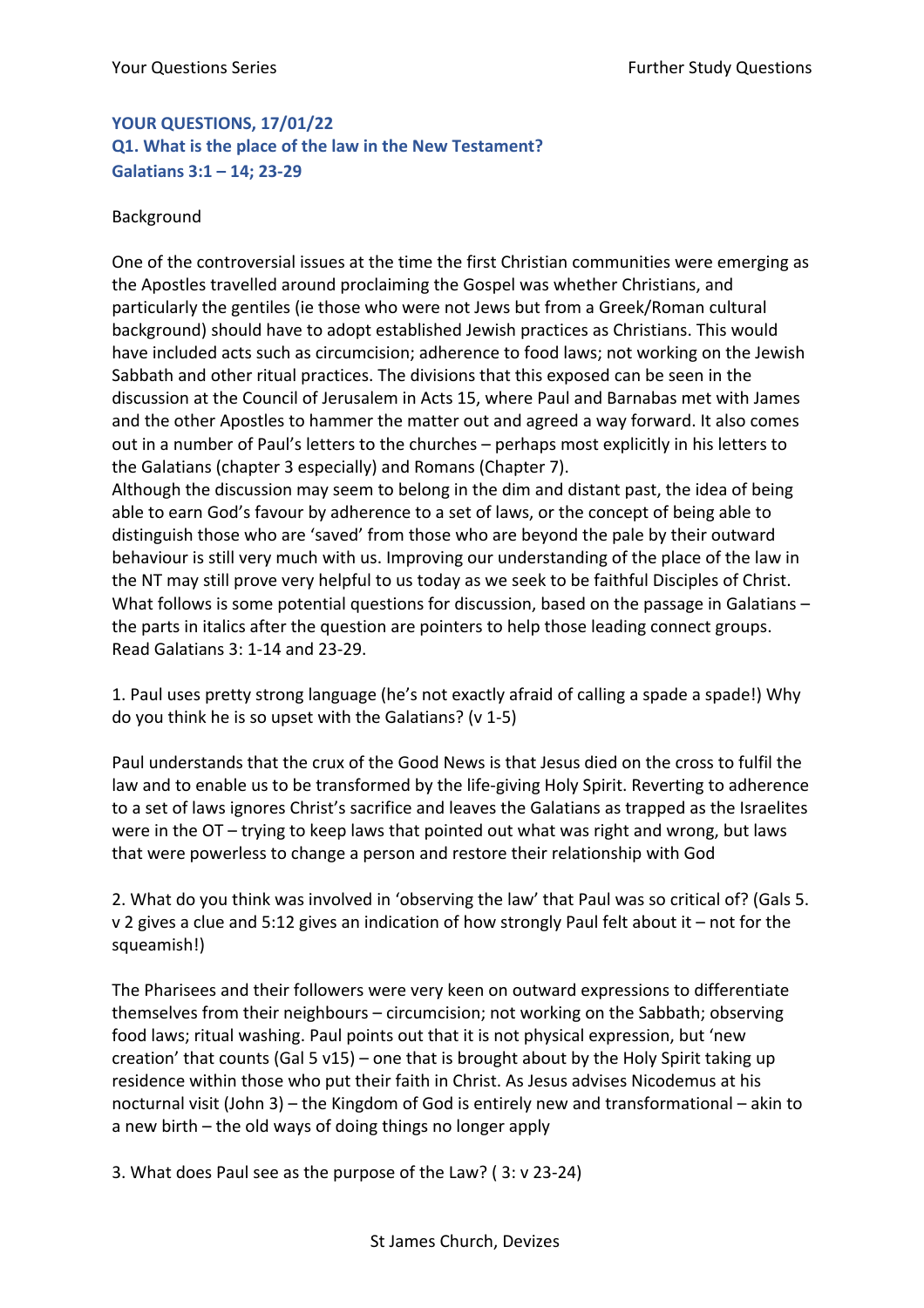## **YOUR QUESTIONS, 17/01/22 Q1. What is the place of the law in the New Testament? Galatians 3:1 – 14; 23-29**

## Background

One of the controversial issues at the time the first Christian communities were emerging as the Apostles travelled around proclaiming the Gospel was whether Christians, and particularly the gentiles (ie those who were not Jews but from a Greek/Roman cultural background) should have to adopt established Jewish practices as Christians. This would have included acts such as circumcision; adherence to food laws; not working on the Jewish Sabbath and other ritual practices. The divisions that this exposed can be seen in the discussion at the Council of Jerusalem in Acts 15, where Paul and Barnabas met with James and the other Apostles to hammer the matter out and agreed a way forward. It also comes out in a number of Paul's letters to the churches – perhaps most explicitly in his letters to the Galatians (chapter 3 especially) and Romans (Chapter 7).

Although the discussion may seem to belong in the dim and distant past, the idea of being able to earn God's favour by adherence to a set of laws, or the concept of being able to distinguish those who are 'saved' from those who are beyond the pale by their outward behaviour is still very much with us. Improving our understanding of the place of the law in the NT may still prove very helpful to us today as we seek to be faithful Disciples of Christ. What follows is some potential questions for discussion, based on the passage in Galatians – the parts in italics after the question are pointers to help those leading connect groups. Read Galatians 3: 1-14 and 23-29.

1. Paul uses pretty strong language (he's not exactly afraid of calling a spade a spade!) Why do you think he is so upset with the Galatians? (v 1-5)

Paul understands that the crux of the Good News is that Jesus died on the cross to fulfil the law and to enable us to be transformed by the life-giving Holy Spirit. Reverting to adherence to a set of laws ignores Christ's sacrifice and leaves the Galatians as trapped as the Israelites were in the OT – trying to keep laws that pointed out what was right and wrong, but laws that were powerless to change a person and restore their relationship with God

2. What do you think was involved in 'observing the law' that Paul was so critical of? (Gals 5. v 2 gives a clue and 5:12 gives an indication of how strongly Paul felt about it – not for the squeamish!)

The Pharisees and their followers were very keen on outward expressions to differentiate themselves from their neighbours – circumcision; not working on the Sabbath; observing food laws; ritual washing. Paul points out that it is not physical expression, but 'new creation' that counts (Gal 5 v15) – one that is brought about by the Holy Spirit taking up residence within those who put their faith in Christ. As Jesus advises Nicodemus at his nocturnal visit (John 3) – the Kingdom of God is entirely new and transformational – akin to a new birth – the old ways of doing things no longer apply

3. What does Paul see as the purpose of the Law? ( 3: v 23-24)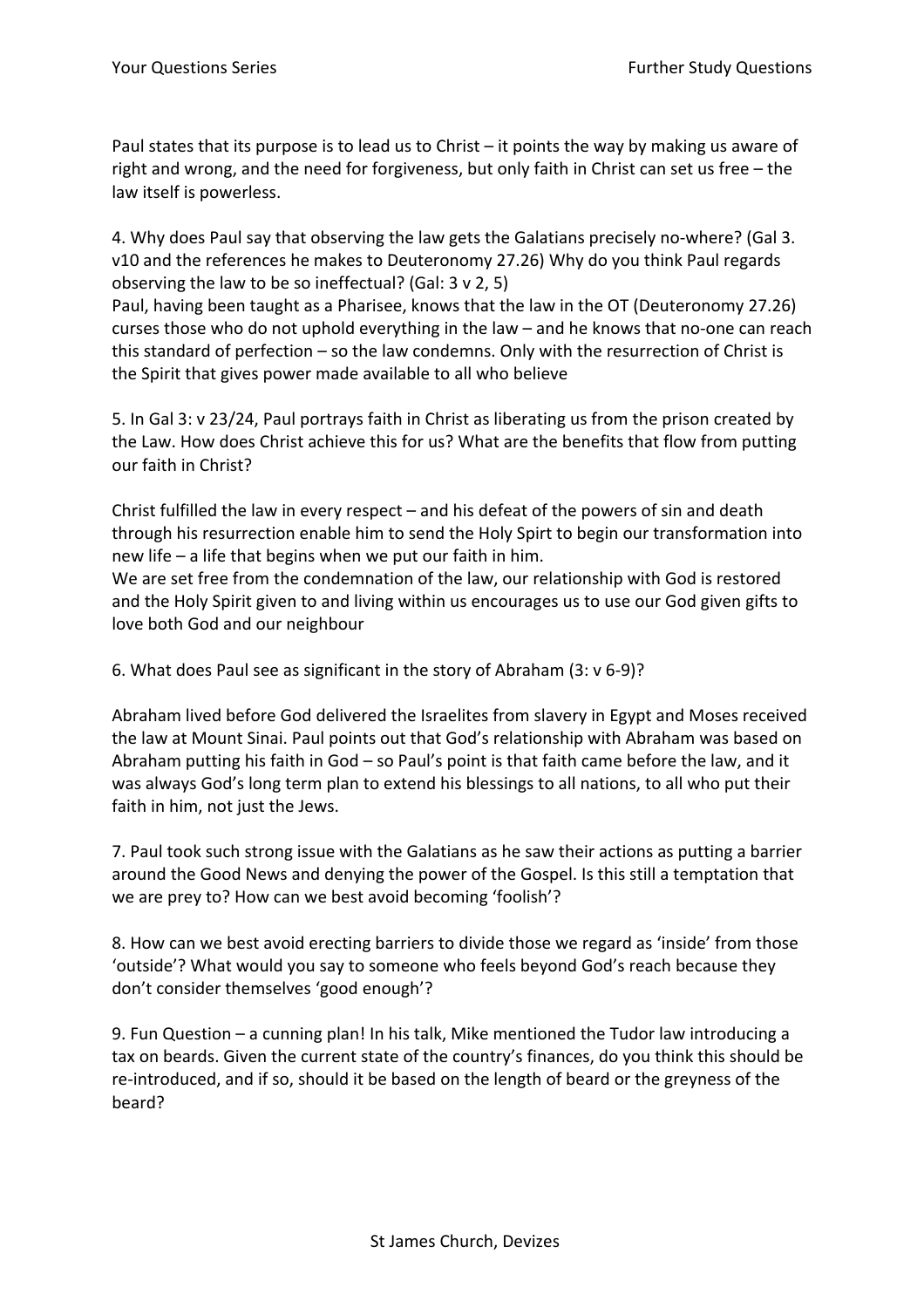Paul states that its purpose is to lead us to Christ – it points the way by making us aware of right and wrong, and the need for forgiveness, but only faith in Christ can set us free – the law itself is powerless.

4. Why does Paul say that observing the law gets the Galatians precisely no-where? (Gal 3. v10 and the references he makes to Deuteronomy 27.26) Why do you think Paul regards observing the law to be so ineffectual? (Gal: 3 v 2, 5)

Paul, having been taught as a Pharisee, knows that the law in the OT (Deuteronomy 27.26) curses those who do not uphold everything in the law – and he knows that no-one can reach this standard of perfection – so the law condemns. Only with the resurrection of Christ is the Spirit that gives power made available to all who believe

5. In Gal 3: v 23/24, Paul portrays faith in Christ as liberating us from the prison created by the Law. How does Christ achieve this for us? What are the benefits that flow from putting our faith in Christ?

Christ fulfilled the law in every respect – and his defeat of the powers of sin and death through his resurrection enable him to send the Holy Spirt to begin our transformation into new life – a life that begins when we put our faith in him.

We are set free from the condemnation of the law, our relationship with God is restored and the Holy Spirit given to and living within us encourages us to use our God given gifts to love both God and our neighbour

6. What does Paul see as significant in the story of Abraham (3: v 6-9)?

Abraham lived before God delivered the Israelites from slavery in Egypt and Moses received the law at Mount Sinai. Paul points out that God's relationship with Abraham was based on Abraham putting his faith in God – so Paul's point is that faith came before the law, and it was always God's long term plan to extend his blessings to all nations, to all who put their faith in him, not just the Jews.

7. Paul took such strong issue with the Galatians as he saw their actions as putting a barrier around the Good News and denying the power of the Gospel. Is this still a temptation that we are prey to? How can we best avoid becoming 'foolish'?

8. How can we best avoid erecting barriers to divide those we regard as 'inside' from those 'outside'? What would you say to someone who feels beyond God's reach because they don't consider themselves 'good enough'?

9. Fun Question – a cunning plan! In his talk, Mike mentioned the Tudor law introducing a tax on beards. Given the current state of the country's finances, do you think this should be re-introduced, and if so, should it be based on the length of beard or the greyness of the beard?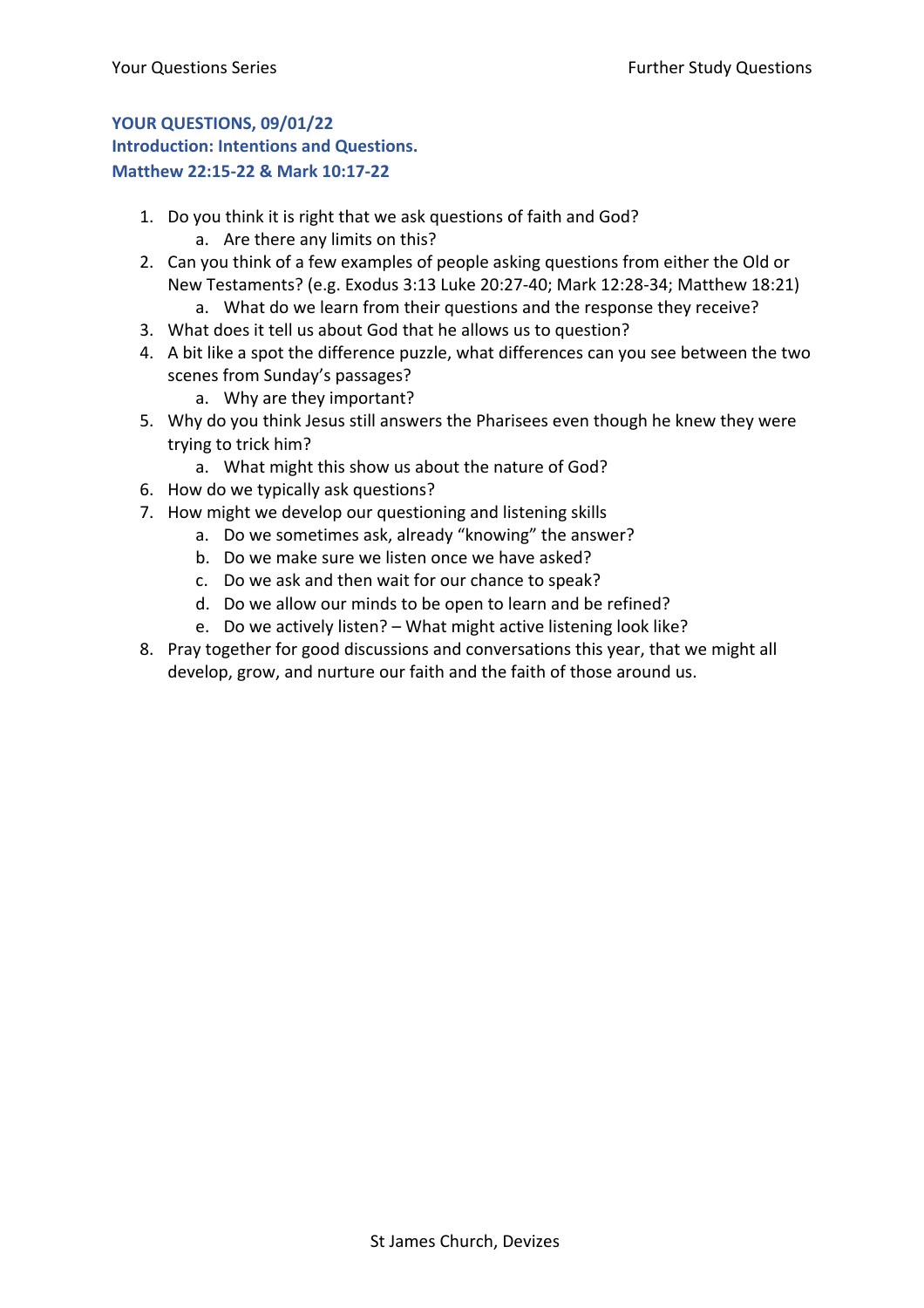# **YOUR QUESTIONS, 09/01/22**

**Introduction: Intentions and Questions. Matthew 22:15-22 & Mark 10:17-22**

- 1. Do you think it is right that we ask questions of faith and God? a. Are there any limits on this?
- 2. Can you think of a few examples of people asking questions from either the Old or New Testaments? (e.g. Exodus 3:13 Luke 20:27-40; Mark 12:28-34; Matthew 18:21)
	- a. What do we learn from their questions and the response they receive?
- 3. What does it tell us about God that he allows us to question?
- 4. A bit like a spot the difference puzzle, what differences can you see between the two scenes from Sunday's passages?
	- a. Why are they important?
- 5. Why do you think Jesus still answers the Pharisees even though he knew they were trying to trick him?
	- a. What might this show us about the nature of God?
- 6. How do we typically ask questions?
- 7. How might we develop our questioning and listening skills
	- a. Do we sometimes ask, already "knowing" the answer?
	- b. Do we make sure we listen once we have asked?
	- c. Do we ask and then wait for our chance to speak?
	- d. Do we allow our minds to be open to learn and be refined?
	- e. Do we actively listen? What might active listening look like?
- 8. Pray together for good discussions and conversations this year, that we might all develop, grow, and nurture our faith and the faith of those around us.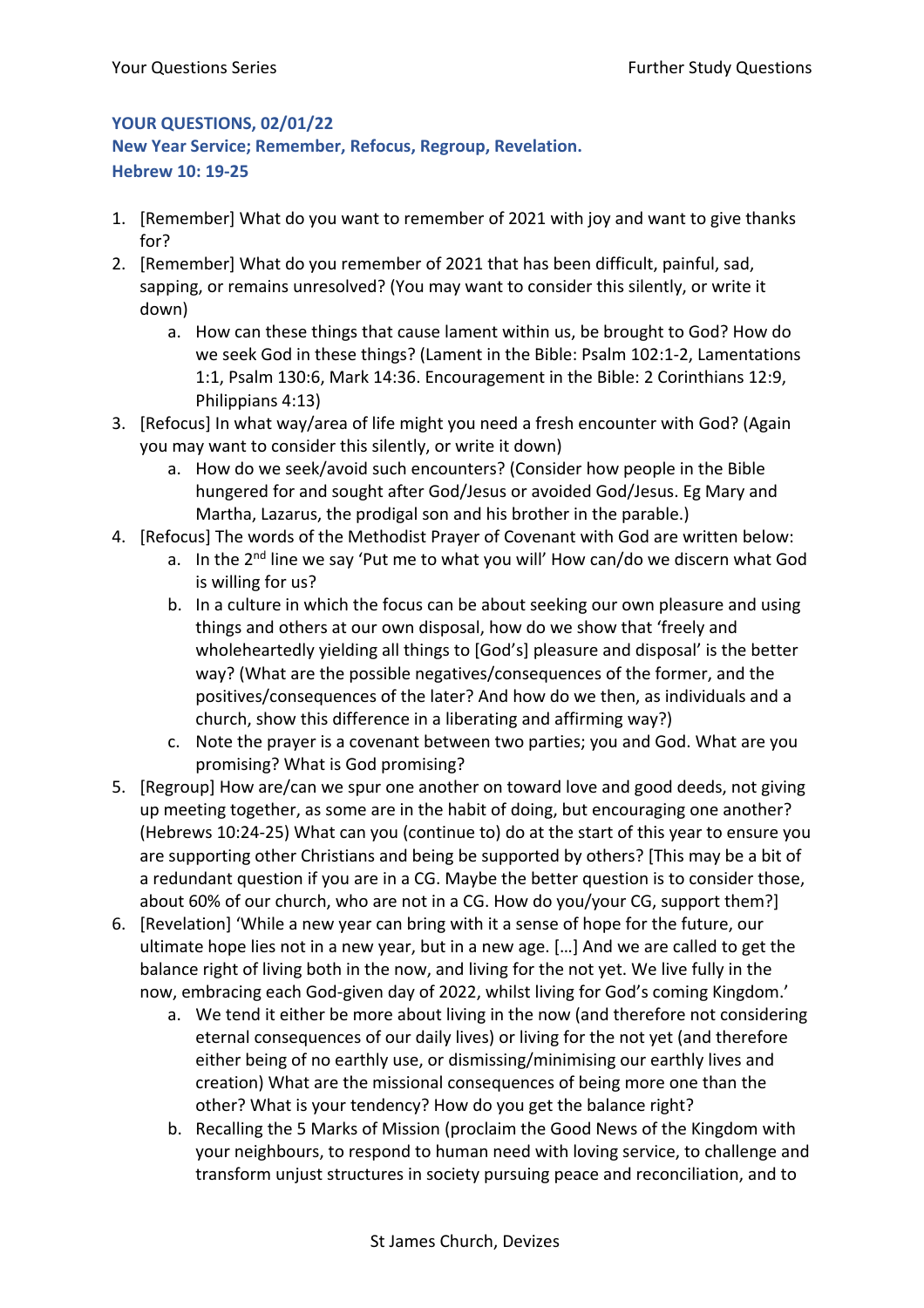## **YOUR QUESTIONS, 02/01/22**

**New Year Service; Remember, Refocus, Regroup, Revelation. Hebrew 10: 19-25**

- 1. [Remember] What do you want to remember of 2021 with joy and want to give thanks for?
- 2. [Remember] What do you remember of 2021 that has been difficult, painful, sad, sapping, or remains unresolved? (You may want to consider this silently, or write it down)
	- a. How can these things that cause lament within us, be brought to God? How do we seek God in these things? (Lament in the Bible: Psalm 102:1-2, Lamentations 1:1, Psalm 130:6, Mark 14:36. Encouragement in the Bible: 2 Corinthians 12:9, Philippians 4:13)
- 3. [Refocus] In what way/area of life might you need a fresh encounter with God? (Again you may want to consider this silently, or write it down)
	- a. How do we seek/avoid such encounters? (Consider how people in the Bible hungered for and sought after God/Jesus or avoided God/Jesus. Eg Mary and Martha, Lazarus, the prodigal son and his brother in the parable.)
- 4. [Refocus] The words of the Methodist Prayer of Covenant with God are written below:
	- a. In the 2<sup>nd</sup> line we say 'Put me to what you will' How can/do we discern what God is willing for us?
	- b. In a culture in which the focus can be about seeking our own pleasure and using things and others at our own disposal, how do we show that 'freely and wholeheartedly yielding all things to [God's] pleasure and disposal' is the better way? (What are the possible negatives/consequences of the former, and the positives/consequences of the later? And how do we then, as individuals and a church, show this difference in a liberating and affirming way?)
	- c. Note the prayer is a covenant between two parties; you and God. What are you promising? What is God promising?
- 5. [Regroup] How are/can we spur one another on toward love and good deeds, not giving up meeting together, as some are in the habit of doing, but encouraging one another? (Hebrews 10:24-25) What can you (continue to) do at the start of this year to ensure you are supporting other Christians and being be supported by others? [This may be a bit of a redundant question if you are in a CG. Maybe the better question is to consider those, about 60% of our church, who are not in a CG. How do you/your CG, support them?]
- 6. [Revelation] 'While a new year can bring with it a sense of hope for the future, our ultimate hope lies not in a new year, but in a new age. […] And we are called to get the balance right of living both in the now, and living for the not yet. We live fully in the now, embracing each God-given day of 2022, whilst living for God's coming Kingdom.'
	- a. We tend it either be more about living in the now (and therefore not considering eternal consequences of our daily lives) or living for the not yet (and therefore either being of no earthly use, or dismissing/minimising our earthly lives and creation) What are the missional consequences of being more one than the other? What is your tendency? How do you get the balance right?
	- b. Recalling the 5 Marks of Mission (proclaim the Good News of the Kingdom with your neighbours, to respond to human need with loving service, to challenge and transform unjust structures in society pursuing peace and reconciliation, and to